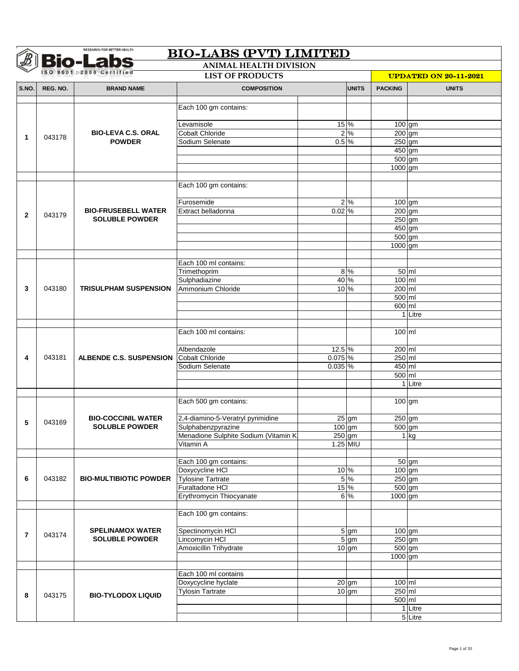|                |          | <b>Bio-Labs</b>                                    | <b>ANIMAL HEALTH DIVISION</b>               |              |                  |                              |                    |  |
|----------------|----------|----------------------------------------------------|---------------------------------------------|--------------|------------------|------------------------------|--------------------|--|
|                |          | ISO 9001:2008 Certified<br><b>LIST OF PRODUCTS</b> |                                             |              |                  | <b>UPDATED ON 20-11-2021</b> |                    |  |
| S.NO.          | REG. NO. | <b>BRAND NAME</b>                                  | <b>COMPOSITION</b>                          |              | <b>UNITS</b>     | <b>PACKING</b>               | <b>UNITS</b>       |  |
|                |          |                                                    |                                             |              |                  |                              |                    |  |
|                |          |                                                    | Each 100 gm contains:                       |              |                  |                              |                    |  |
|                |          |                                                    | Levamisole                                  | 15 %         |                  | $100$ gm                     |                    |  |
|                |          | <b>BIO-LEVA C.S. ORAL</b>                          | <b>Cobalt Chloride</b>                      |              | $2\frac{6}{6}$   | $200$ gm                     |                    |  |
| 1              | 043178   | <b>POWDER</b>                                      | Sodium Selenate                             | $0.5\%$      |                  | $250$ gm                     |                    |  |
|                |          |                                                    |                                             |              |                  | 450 gm                       |                    |  |
|                |          |                                                    |                                             |              |                  | $500$ gm                     |                    |  |
|                |          |                                                    |                                             |              |                  | 1000 gm                      |                    |  |
|                |          |                                                    |                                             |              |                  |                              |                    |  |
|                |          |                                                    | Each 100 gm contains:                       |              |                  |                              |                    |  |
|                |          |                                                    | Furosemide                                  |              | 2%               | $100$ gm                     |                    |  |
|                |          | <b>BIO-FRUSEBELL WATER</b>                         | Extract belladonna                          | $0.02\%$     |                  | $200$ gm                     |                    |  |
| $\mathbf{2}$   | 043179   | <b>SOLUBLE POWDER</b>                              |                                             |              |                  | $250$ gm                     |                    |  |
|                |          |                                                    |                                             |              |                  | $450$ gm                     |                    |  |
|                |          |                                                    |                                             |              |                  | 500 gm                       |                    |  |
|                |          |                                                    |                                             |              |                  | 1000 gm                      |                    |  |
|                |          |                                                    |                                             |              |                  |                              |                    |  |
|                |          |                                                    | Each 100 ml contains:                       |              |                  |                              |                    |  |
|                |          |                                                    | Trimethoprim                                |              | 8 %              | $100$ ml                     | $50$ m             |  |
| 3              | 043180   | <b>TRISULPHAM SUSPENSION</b>                       | Sulphadiazine<br>Ammonium Chloride          | 40 %<br>10 % |                  | 200 ml                       |                    |  |
|                |          |                                                    |                                             |              |                  | 500 ml                       |                    |  |
|                |          |                                                    |                                             |              |                  | 600 ml                       |                    |  |
|                |          |                                                    |                                             |              |                  |                              | 1 Litre            |  |
|                |          |                                                    |                                             |              |                  |                              |                    |  |
|                |          |                                                    | Each 100 ml contains:                       |              |                  | 100 ml                       |                    |  |
|                |          |                                                    | Albendazole                                 | $12.5\%$     |                  | 200 ml                       |                    |  |
| 4              | 043181   | ALBENDE C.S. SUSPENSION                            | <b>Cobalt Chloride</b>                      | 0.075%       |                  | 250 ml                       |                    |  |
|                |          |                                                    | Sodium Selenate                             | 0.035 %      |                  | 450 ml                       |                    |  |
|                |          |                                                    |                                             |              |                  | 500 ml                       |                    |  |
|                |          |                                                    |                                             |              |                  |                              | 1 Litre            |  |
|                |          |                                                    |                                             |              |                  |                              |                    |  |
|                |          |                                                    | Each 500 gm contains:                       |              |                  | 100 gm                       |                    |  |
|                |          | <b>BIO-COCCINIL WATER</b>                          | 2,4-diamino-5-Veratryl pyrimidine           |              | $25$ gm          | 250 gm                       |                    |  |
| 5              | 043169   | <b>SOLUBLE POWDER</b>                              | Sulphabenzpyrazine                          |              | $100 \,$ gm      | $500 \, \text{gm}$           |                    |  |
|                |          |                                                    | Menadione Sulphite Sodium (Vitamin K:       | $250$ gm     |                  |                              | $1$ kg             |  |
|                |          |                                                    | Vitamin A                                   |              | $1.25$ MIU       |                              |                    |  |
|                |          |                                                    |                                             |              |                  |                              |                    |  |
|                |          |                                                    | Each 100 gm contains:                       |              |                  |                              | $\overline{50}$ gm |  |
|                |          | <b>BIO-MULTIBIOTIC POWDER</b>                      | Doxycycline HCI                             | 10 %         |                  | $100$ gm                     |                    |  |
| 6              | 043182   |                                                    | <b>Tylosine Tartrate</b><br>Furaltadone HCI | 15%          | 5 %              | $250$ gm<br>500 gm           |                    |  |
|                |          |                                                    | Erythromycin Thiocyanate                    |              | 6%               | 1000 gm                      |                    |  |
|                |          |                                                    |                                             |              |                  |                              |                    |  |
|                |          |                                                    | Each 100 gm contains:                       |              |                  |                              |                    |  |
| $\overline{7}$ | 043174   | <b>SPELINAMOX WATER</b>                            | Spectinomycin HCI                           |              | 5 gm             | 100 gm                       |                    |  |
|                |          | <b>SOLUBLE POWDER</b>                              | Lincomycin HCI                              |              | $5 \, \text{gm}$ | $250$ gm                     |                    |  |
|                |          |                                                    | Amoxicillin Trihydrate                      |              | $10$ gm          | 500 gm<br>1000 gm            |                    |  |
|                |          |                                                    |                                             |              |                  |                              |                    |  |
|                |          |                                                    | Each 100 ml contains                        |              |                  |                              |                    |  |
|                |          |                                                    | Doxycycline hyclate                         |              | $20$ gm          | 100 ml                       |                    |  |
|                | 043175   | <b>BIO-TYLODOX LIQUID</b>                          | <b>Tylosin Tartrate</b>                     |              | $10 \text{ gm}$  | 250 ml                       |                    |  |
| 8              |          |                                                    |                                             |              |                  | $500$ ml                     |                    |  |
|                |          |                                                    |                                             |              |                  |                              | 1 Litre            |  |
|                |          |                                                    |                                             |              |                  |                              | 5 Litre            |  |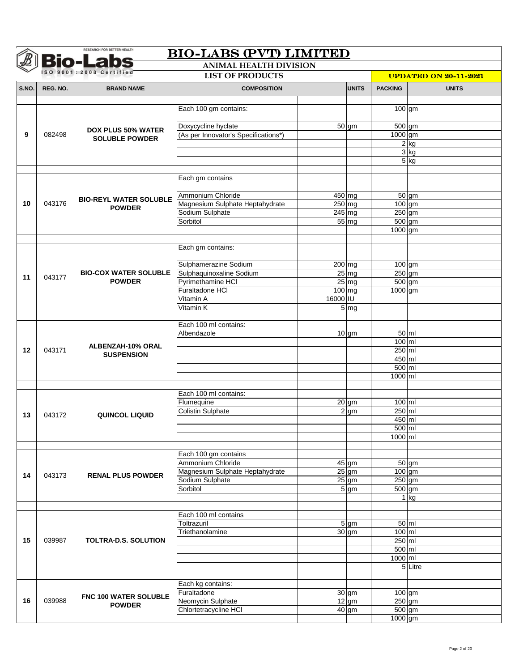|       |          | <b>Bio-Labs</b><br>ISO 9001:2008 Certified | <b>ANIMAL HEALTH DIVISION</b>          |          |                                      |                      |                              |
|-------|----------|--------------------------------------------|----------------------------------------|----------|--------------------------------------|----------------------|------------------------------|
|       |          | <b>LIST OF PRODUCTS</b>                    |                                        |          |                                      |                      | <b>UPDATED ON 20-11-2021</b> |
| S.NO. | REG. NO. | <b>BRAND NAME</b>                          | <b>COMPOSITION</b>                     |          | <b>UNITS</b>                         | <b>PACKING</b>       | <b>UNITS</b>                 |
|       |          |                                            |                                        |          |                                      |                      |                              |
|       |          |                                            | Each 100 gm contains:                  |          |                                      | 100 gm               |                              |
|       |          |                                            | Doxycycline hyclate                    |          | $\overline{50}$ gm                   | $500$ gm             |                              |
| 9     | 082498   | <b>DOX PLUS 50% WATER</b>                  | (As per Innovator's Specifications*)   |          |                                      | 1000 gm              |                              |
|       |          | <b>SOLUBLE POWDER</b>                      |                                        |          |                                      |                      | $2$ kg                       |
|       |          |                                            |                                        |          |                                      |                      | $3$ kg                       |
|       |          |                                            |                                        |          |                                      |                      | $5$ kg                       |
|       |          |                                            | Each gm contains                       |          |                                      |                      |                              |
|       |          |                                            |                                        |          |                                      |                      |                              |
|       |          | <b>BIO-REYL WATER SOLUBLE</b>              | Ammonium Chloride                      | $450$ mg |                                      |                      | $50$ gm                      |
| 10    | 043176   | <b>POWDER</b>                              | Magnesium Sulphate Heptahydrate        | $250$ mg |                                      | $100$ gm             |                              |
|       |          |                                            | Sodium Sulphate                        | $245$ mg |                                      | 250 gm               |                              |
|       |          |                                            | Sorbitol                               |          | $55 \, \mathrm{mg}$                  | 500 gm               |                              |
|       |          |                                            |                                        |          |                                      | 1000 gm              |                              |
|       |          |                                            | Each gm contains:                      |          |                                      |                      |                              |
|       |          |                                            |                                        |          |                                      |                      |                              |
|       |          |                                            | Sulphamerazine Sodium                  | 200 mg   |                                      | 100 gm               |                              |
| 11    | 043177   | <b>BIO-COX WATER SOLUBLE</b>               | Sulphaquinoxaline Sodium               |          | $25 \overline{\text{mg}}$            | 250 gm               |                              |
|       |          | <b>POWDER</b>                              | Pyrimethamine HCI                      |          | $25 \, \text{mg}$                    | 500 gm               |                              |
|       |          |                                            | Furaltadone HCI                        | $100$ mg |                                      | 1000 gm              |                              |
|       |          |                                            | Vitamin A                              | 16000 IU |                                      |                      |                              |
|       |          |                                            | Vitamin K                              |          | 5 <sub>mg</sub>                      |                      |                              |
|       |          |                                            |                                        |          |                                      |                      |                              |
|       |          |                                            | Each 100 ml contains:<br>Albendazole   |          | $10$ gm                              |                      | $50$ ml                      |
|       |          |                                            |                                        |          |                                      | 100 ml               |                              |
| 12    | 043171   | ALBENZAH-10% ORAL                          |                                        |          |                                      | $250$ ml             |                              |
|       |          | <b>SUSPENSION</b>                          |                                        |          |                                      | 450 ml               |                              |
|       |          |                                            |                                        |          |                                      | 500 ml               |                              |
|       |          |                                            |                                        |          |                                      | 1000 ml              |                              |
|       |          |                                            |                                        |          |                                      |                      |                              |
|       |          |                                            | Each 100 ml contains:                  |          |                                      |                      |                              |
|       |          |                                            | Flumequine<br><b>Colistin Sulphate</b> |          | $\overline{20}$ gm<br>$2 \text{ gm}$ | $100$ ml<br>$250$ ml |                              |
| 13    | 043172   | QUINCOL LIQUID                             |                                        |          |                                      | 450 ml               |                              |
|       |          |                                            |                                        |          |                                      | 500 ml               |                              |
|       |          |                                            |                                        |          |                                      | 1000 ml              |                              |
|       |          |                                            |                                        |          |                                      |                      |                              |
|       |          |                                            | Each 100 gm contains                   |          |                                      |                      |                              |
|       |          |                                            | Ammonium Chloride                      |          | $\overline{45}$ gm                   |                      | 50 gm                        |
| 14    | 043173   | <b>RENAL PLUS POWDER</b>                   | Magnesium Sulphate Heptahydrate        |          | $25 \text{ gm}$                      | $100$ gm             |                              |
|       |          |                                            | Sodium Sulphate                        |          | $25$ gm                              | $250$ gm             |                              |
|       |          |                                            | Sorbitol                               |          | $5 \text{ g}$                        | 500 gm               |                              |
|       |          |                                            |                                        |          |                                      |                      | $1$ kg                       |
|       |          |                                            | Each 100 ml contains                   |          |                                      |                      |                              |
|       |          |                                            | Toltrazuril                            |          | 5 gm                                 |                      | $50 \mid m \mid$             |
|       |          |                                            | Triethanolamine                        |          | $30 \text{ gm}$                      | $100$ ml             |                              |
| 15    | 039987   | <b>TOLTRA-D.S. SOLUTION</b>                |                                        |          |                                      | 250 ml               |                              |
|       |          |                                            |                                        |          |                                      | 500 ml               |                              |
|       |          |                                            |                                        |          |                                      | 1000 ml              |                              |
|       |          |                                            |                                        |          |                                      |                      | 5 Litre                      |
|       |          |                                            | Each kg contains:                      |          |                                      |                      |                              |
|       |          |                                            | Furaltadone                            |          | $30$ gm                              | $100$ gm             |                              |
| 16    | 039988   | FNC 100 WATER SOLUBLE                      | Neomycin Sulphate                      |          | $12 \text{ gm}$                      | $250$ gm             |                              |
|       |          | <b>POWDER</b>                              | Chlortetracycline HCI                  |          | 40 gm                                |                      | $500$ gm                     |
|       |          |                                            |                                        |          |                                      | 1000 gm              |                              |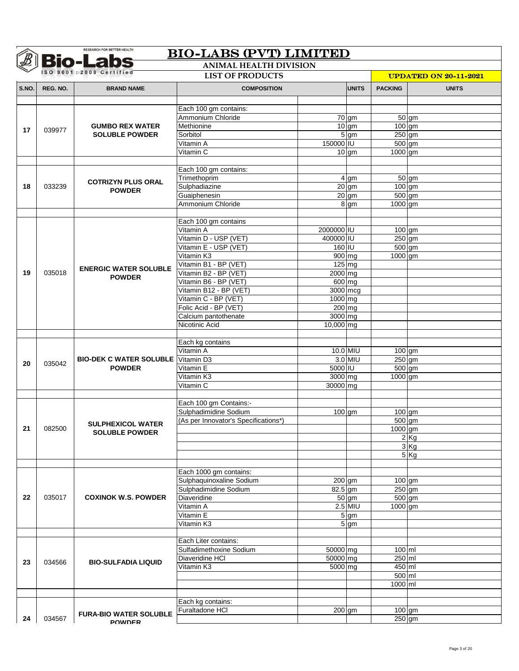| ISO 9001:2008 Certified<br><b>LIST OF PRODUCTS</b><br><b>UPDATED ON 20-11-2021</b><br><b>UNITS</b><br><b>PACKING</b><br>REG. NO.<br><b>COMPOSITION</b><br><b>UNITS</b><br><b>BRAND NAME</b><br>Each 100 gm contains:<br>Ammonium Chloride<br>$50$ gm<br>$70$ gm<br>Methionine<br>$10$ gm<br>$100$ gm<br><b>GUMBO REX WATER</b><br>17<br>039977<br>$5 \text{ gm}$<br>Sorbitol<br>$250$ gm<br><b>SOLUBLE POWDER</b><br>150000 IU<br>Vitamin A<br>500 gm<br>Vitamin C<br>1000 gm<br>$10$ gm<br>Each 100 gm contains:<br>Trimethoprim<br>$50$ gm<br>4 gm<br><b>COTRIZYN PLUS ORAL</b><br>$20$ gm<br>$100$ gm<br>033239<br>Sulphadiazine<br>18<br><b>POWDER</b><br>Guaiphenesin<br>$20$ gm<br>500 gm<br>Ammonium Chloride<br>$8 \,$ gm<br>1000 gm<br>Each 100 gm contains<br>Vitamin A<br>2000000 IU<br>$100$ gm<br>Vitamin D - USP (VET)<br>400000 IU<br>$250$ am<br>$160$ IU<br>Vitamin E - USP (VET)<br>$500$ gm<br>900 mg<br>Vitamin K3<br>1000 gm<br>Vitamin B1 - BP (VET)<br>$125$ mg<br><b>ENERGIC WATER SOLUBLE</b><br>035018<br>Vitamin B2 - BP (VET)<br>2000 mg<br>19<br><b>POWDER</b><br>Vitamin B6 - BP (VET)<br>600 mg<br>Vitamin B12 - BP (VET)<br>3000 mcg<br>Vitamin C - BP (VET)<br>1000 mg<br>Folic Acid - BP (VET)<br>200 mg<br>Calcium pantothenate<br>3000 mg<br>Nicotinic Acid<br>10,000 mg<br>Each kg contains<br>Vitamin A<br>10.0 MIU<br>$100$ gm<br><b>BIO-DEK C WATER SOLUBLE</b> Vitamin D3<br>3.0 MIU<br>$250$ gm<br>035042<br>20<br>5000 IU<br>Vitamin E<br>$500$ gm<br><b>POWDER</b><br>3000 mg<br>Vitamin K3<br>1000 gm<br>Vitamin C<br>30000 mg<br>Each 100 gm Contains:-<br>Sulphadimidine Sodium<br>$\overline{100}$ gm<br>$100$ gm<br>500 gm<br>(As per Innovator's Specifications*)<br><b>SULPHEXICOL WATER</b><br>1000 gm<br>082500<br><b>SOLUBLE POWDER</b><br>2Kg<br>3 Kg<br>$5$ Kg<br>Each 1000 gm contains:<br>Sulphaquinoxaline Sodium<br>200 gm<br>100 gm<br>$250$ gm<br>Sulphadimidine Sodium<br>$82.5$ gm<br><b>COXINOK W.S. POWDER</b><br>Diaveridine<br>035017<br>$\overline{50}$ gm<br>500 gm<br>$2.5$ MIU<br>1000 gm<br>Vitamin A<br>$\overline{5}$ gm<br>Vitamin E<br>Vitamin K3<br>5 gm<br>Each Liter contains:<br>100 ml<br>Sulfadimethoxine Sodium<br>50000 mg<br>250 ml<br>Diaveridine HCI<br>50000 mg<br>23<br>034566<br><b>BIO-SULFADIA LIQUID</b><br>450 ml<br>Vitamin K3<br>5000 mg<br>500 ml |       | <b>Bio-Labs</b> | <b>BIO-LABS (PVT) LIMITED</b><br><b>ANIMAL HEALTH DIVISION</b> |  |  |         |  |
|-----------------------------------------------------------------------------------------------------------------------------------------------------------------------------------------------------------------------------------------------------------------------------------------------------------------------------------------------------------------------------------------------------------------------------------------------------------------------------------------------------------------------------------------------------------------------------------------------------------------------------------------------------------------------------------------------------------------------------------------------------------------------------------------------------------------------------------------------------------------------------------------------------------------------------------------------------------------------------------------------------------------------------------------------------------------------------------------------------------------------------------------------------------------------------------------------------------------------------------------------------------------------------------------------------------------------------------------------------------------------------------------------------------------------------------------------------------------------------------------------------------------------------------------------------------------------------------------------------------------------------------------------------------------------------------------------------------------------------------------------------------------------------------------------------------------------------------------------------------------------------------------------------------------------------------------------------------------------------------------------------------------------------------------------------------------------------------------------------------------------------------------------------------------------------------------------------------------------------------------------------------------------------------------------------------------------------------------------------|-------|-----------------|----------------------------------------------------------------|--|--|---------|--|
|                                                                                                                                                                                                                                                                                                                                                                                                                                                                                                                                                                                                                                                                                                                                                                                                                                                                                                                                                                                                                                                                                                                                                                                                                                                                                                                                                                                                                                                                                                                                                                                                                                                                                                                                                                                                                                                                                                                                                                                                                                                                                                                                                                                                                                                                                                                                                     |       |                 |                                                                |  |  |         |  |
|                                                                                                                                                                                                                                                                                                                                                                                                                                                                                                                                                                                                                                                                                                                                                                                                                                                                                                                                                                                                                                                                                                                                                                                                                                                                                                                                                                                                                                                                                                                                                                                                                                                                                                                                                                                                                                                                                                                                                                                                                                                                                                                                                                                                                                                                                                                                                     | S.NO. |                 |                                                                |  |  |         |  |
|                                                                                                                                                                                                                                                                                                                                                                                                                                                                                                                                                                                                                                                                                                                                                                                                                                                                                                                                                                                                                                                                                                                                                                                                                                                                                                                                                                                                                                                                                                                                                                                                                                                                                                                                                                                                                                                                                                                                                                                                                                                                                                                                                                                                                                                                                                                                                     |       |                 |                                                                |  |  |         |  |
|                                                                                                                                                                                                                                                                                                                                                                                                                                                                                                                                                                                                                                                                                                                                                                                                                                                                                                                                                                                                                                                                                                                                                                                                                                                                                                                                                                                                                                                                                                                                                                                                                                                                                                                                                                                                                                                                                                                                                                                                                                                                                                                                                                                                                                                                                                                                                     |       |                 |                                                                |  |  |         |  |
|                                                                                                                                                                                                                                                                                                                                                                                                                                                                                                                                                                                                                                                                                                                                                                                                                                                                                                                                                                                                                                                                                                                                                                                                                                                                                                                                                                                                                                                                                                                                                                                                                                                                                                                                                                                                                                                                                                                                                                                                                                                                                                                                                                                                                                                                                                                                                     |       |                 |                                                                |  |  |         |  |
|                                                                                                                                                                                                                                                                                                                                                                                                                                                                                                                                                                                                                                                                                                                                                                                                                                                                                                                                                                                                                                                                                                                                                                                                                                                                                                                                                                                                                                                                                                                                                                                                                                                                                                                                                                                                                                                                                                                                                                                                                                                                                                                                                                                                                                                                                                                                                     |       |                 |                                                                |  |  |         |  |
|                                                                                                                                                                                                                                                                                                                                                                                                                                                                                                                                                                                                                                                                                                                                                                                                                                                                                                                                                                                                                                                                                                                                                                                                                                                                                                                                                                                                                                                                                                                                                                                                                                                                                                                                                                                                                                                                                                                                                                                                                                                                                                                                                                                                                                                                                                                                                     |       |                 |                                                                |  |  |         |  |
|                                                                                                                                                                                                                                                                                                                                                                                                                                                                                                                                                                                                                                                                                                                                                                                                                                                                                                                                                                                                                                                                                                                                                                                                                                                                                                                                                                                                                                                                                                                                                                                                                                                                                                                                                                                                                                                                                                                                                                                                                                                                                                                                                                                                                                                                                                                                                     |       |                 |                                                                |  |  |         |  |
|                                                                                                                                                                                                                                                                                                                                                                                                                                                                                                                                                                                                                                                                                                                                                                                                                                                                                                                                                                                                                                                                                                                                                                                                                                                                                                                                                                                                                                                                                                                                                                                                                                                                                                                                                                                                                                                                                                                                                                                                                                                                                                                                                                                                                                                                                                                                                     |       |                 |                                                                |  |  |         |  |
|                                                                                                                                                                                                                                                                                                                                                                                                                                                                                                                                                                                                                                                                                                                                                                                                                                                                                                                                                                                                                                                                                                                                                                                                                                                                                                                                                                                                                                                                                                                                                                                                                                                                                                                                                                                                                                                                                                                                                                                                                                                                                                                                                                                                                                                                                                                                                     |       |                 |                                                                |  |  |         |  |
|                                                                                                                                                                                                                                                                                                                                                                                                                                                                                                                                                                                                                                                                                                                                                                                                                                                                                                                                                                                                                                                                                                                                                                                                                                                                                                                                                                                                                                                                                                                                                                                                                                                                                                                                                                                                                                                                                                                                                                                                                                                                                                                                                                                                                                                                                                                                                     |       |                 |                                                                |  |  |         |  |
|                                                                                                                                                                                                                                                                                                                                                                                                                                                                                                                                                                                                                                                                                                                                                                                                                                                                                                                                                                                                                                                                                                                                                                                                                                                                                                                                                                                                                                                                                                                                                                                                                                                                                                                                                                                                                                                                                                                                                                                                                                                                                                                                                                                                                                                                                                                                                     |       |                 |                                                                |  |  |         |  |
|                                                                                                                                                                                                                                                                                                                                                                                                                                                                                                                                                                                                                                                                                                                                                                                                                                                                                                                                                                                                                                                                                                                                                                                                                                                                                                                                                                                                                                                                                                                                                                                                                                                                                                                                                                                                                                                                                                                                                                                                                                                                                                                                                                                                                                                                                                                                                     |       |                 |                                                                |  |  |         |  |
|                                                                                                                                                                                                                                                                                                                                                                                                                                                                                                                                                                                                                                                                                                                                                                                                                                                                                                                                                                                                                                                                                                                                                                                                                                                                                                                                                                                                                                                                                                                                                                                                                                                                                                                                                                                                                                                                                                                                                                                                                                                                                                                                                                                                                                                                                                                                                     |       |                 |                                                                |  |  |         |  |
|                                                                                                                                                                                                                                                                                                                                                                                                                                                                                                                                                                                                                                                                                                                                                                                                                                                                                                                                                                                                                                                                                                                                                                                                                                                                                                                                                                                                                                                                                                                                                                                                                                                                                                                                                                                                                                                                                                                                                                                                                                                                                                                                                                                                                                                                                                                                                     |       |                 |                                                                |  |  |         |  |
|                                                                                                                                                                                                                                                                                                                                                                                                                                                                                                                                                                                                                                                                                                                                                                                                                                                                                                                                                                                                                                                                                                                                                                                                                                                                                                                                                                                                                                                                                                                                                                                                                                                                                                                                                                                                                                                                                                                                                                                                                                                                                                                                                                                                                                                                                                                                                     |       |                 |                                                                |  |  |         |  |
|                                                                                                                                                                                                                                                                                                                                                                                                                                                                                                                                                                                                                                                                                                                                                                                                                                                                                                                                                                                                                                                                                                                                                                                                                                                                                                                                                                                                                                                                                                                                                                                                                                                                                                                                                                                                                                                                                                                                                                                                                                                                                                                                                                                                                                                                                                                                                     |       |                 |                                                                |  |  |         |  |
|                                                                                                                                                                                                                                                                                                                                                                                                                                                                                                                                                                                                                                                                                                                                                                                                                                                                                                                                                                                                                                                                                                                                                                                                                                                                                                                                                                                                                                                                                                                                                                                                                                                                                                                                                                                                                                                                                                                                                                                                                                                                                                                                                                                                                                                                                                                                                     |       |                 |                                                                |  |  |         |  |
|                                                                                                                                                                                                                                                                                                                                                                                                                                                                                                                                                                                                                                                                                                                                                                                                                                                                                                                                                                                                                                                                                                                                                                                                                                                                                                                                                                                                                                                                                                                                                                                                                                                                                                                                                                                                                                                                                                                                                                                                                                                                                                                                                                                                                                                                                                                                                     |       |                 |                                                                |  |  |         |  |
|                                                                                                                                                                                                                                                                                                                                                                                                                                                                                                                                                                                                                                                                                                                                                                                                                                                                                                                                                                                                                                                                                                                                                                                                                                                                                                                                                                                                                                                                                                                                                                                                                                                                                                                                                                                                                                                                                                                                                                                                                                                                                                                                                                                                                                                                                                                                                     |       |                 |                                                                |  |  |         |  |
|                                                                                                                                                                                                                                                                                                                                                                                                                                                                                                                                                                                                                                                                                                                                                                                                                                                                                                                                                                                                                                                                                                                                                                                                                                                                                                                                                                                                                                                                                                                                                                                                                                                                                                                                                                                                                                                                                                                                                                                                                                                                                                                                                                                                                                                                                                                                                     |       |                 |                                                                |  |  |         |  |
|                                                                                                                                                                                                                                                                                                                                                                                                                                                                                                                                                                                                                                                                                                                                                                                                                                                                                                                                                                                                                                                                                                                                                                                                                                                                                                                                                                                                                                                                                                                                                                                                                                                                                                                                                                                                                                                                                                                                                                                                                                                                                                                                                                                                                                                                                                                                                     |       |                 |                                                                |  |  |         |  |
|                                                                                                                                                                                                                                                                                                                                                                                                                                                                                                                                                                                                                                                                                                                                                                                                                                                                                                                                                                                                                                                                                                                                                                                                                                                                                                                                                                                                                                                                                                                                                                                                                                                                                                                                                                                                                                                                                                                                                                                                                                                                                                                                                                                                                                                                                                                                                     |       |                 |                                                                |  |  |         |  |
|                                                                                                                                                                                                                                                                                                                                                                                                                                                                                                                                                                                                                                                                                                                                                                                                                                                                                                                                                                                                                                                                                                                                                                                                                                                                                                                                                                                                                                                                                                                                                                                                                                                                                                                                                                                                                                                                                                                                                                                                                                                                                                                                                                                                                                                                                                                                                     |       |                 |                                                                |  |  |         |  |
|                                                                                                                                                                                                                                                                                                                                                                                                                                                                                                                                                                                                                                                                                                                                                                                                                                                                                                                                                                                                                                                                                                                                                                                                                                                                                                                                                                                                                                                                                                                                                                                                                                                                                                                                                                                                                                                                                                                                                                                                                                                                                                                                                                                                                                                                                                                                                     |       |                 |                                                                |  |  |         |  |
|                                                                                                                                                                                                                                                                                                                                                                                                                                                                                                                                                                                                                                                                                                                                                                                                                                                                                                                                                                                                                                                                                                                                                                                                                                                                                                                                                                                                                                                                                                                                                                                                                                                                                                                                                                                                                                                                                                                                                                                                                                                                                                                                                                                                                                                                                                                                                     |       |                 |                                                                |  |  |         |  |
|                                                                                                                                                                                                                                                                                                                                                                                                                                                                                                                                                                                                                                                                                                                                                                                                                                                                                                                                                                                                                                                                                                                                                                                                                                                                                                                                                                                                                                                                                                                                                                                                                                                                                                                                                                                                                                                                                                                                                                                                                                                                                                                                                                                                                                                                                                                                                     |       |                 |                                                                |  |  |         |  |
|                                                                                                                                                                                                                                                                                                                                                                                                                                                                                                                                                                                                                                                                                                                                                                                                                                                                                                                                                                                                                                                                                                                                                                                                                                                                                                                                                                                                                                                                                                                                                                                                                                                                                                                                                                                                                                                                                                                                                                                                                                                                                                                                                                                                                                                                                                                                                     |       |                 |                                                                |  |  |         |  |
|                                                                                                                                                                                                                                                                                                                                                                                                                                                                                                                                                                                                                                                                                                                                                                                                                                                                                                                                                                                                                                                                                                                                                                                                                                                                                                                                                                                                                                                                                                                                                                                                                                                                                                                                                                                                                                                                                                                                                                                                                                                                                                                                                                                                                                                                                                                                                     |       |                 |                                                                |  |  |         |  |
|                                                                                                                                                                                                                                                                                                                                                                                                                                                                                                                                                                                                                                                                                                                                                                                                                                                                                                                                                                                                                                                                                                                                                                                                                                                                                                                                                                                                                                                                                                                                                                                                                                                                                                                                                                                                                                                                                                                                                                                                                                                                                                                                                                                                                                                                                                                                                     |       |                 |                                                                |  |  |         |  |
|                                                                                                                                                                                                                                                                                                                                                                                                                                                                                                                                                                                                                                                                                                                                                                                                                                                                                                                                                                                                                                                                                                                                                                                                                                                                                                                                                                                                                                                                                                                                                                                                                                                                                                                                                                                                                                                                                                                                                                                                                                                                                                                                                                                                                                                                                                                                                     |       |                 |                                                                |  |  |         |  |
|                                                                                                                                                                                                                                                                                                                                                                                                                                                                                                                                                                                                                                                                                                                                                                                                                                                                                                                                                                                                                                                                                                                                                                                                                                                                                                                                                                                                                                                                                                                                                                                                                                                                                                                                                                                                                                                                                                                                                                                                                                                                                                                                                                                                                                                                                                                                                     |       |                 |                                                                |  |  |         |  |
|                                                                                                                                                                                                                                                                                                                                                                                                                                                                                                                                                                                                                                                                                                                                                                                                                                                                                                                                                                                                                                                                                                                                                                                                                                                                                                                                                                                                                                                                                                                                                                                                                                                                                                                                                                                                                                                                                                                                                                                                                                                                                                                                                                                                                                                                                                                                                     |       |                 |                                                                |  |  |         |  |
|                                                                                                                                                                                                                                                                                                                                                                                                                                                                                                                                                                                                                                                                                                                                                                                                                                                                                                                                                                                                                                                                                                                                                                                                                                                                                                                                                                                                                                                                                                                                                                                                                                                                                                                                                                                                                                                                                                                                                                                                                                                                                                                                                                                                                                                                                                                                                     |       |                 |                                                                |  |  |         |  |
|                                                                                                                                                                                                                                                                                                                                                                                                                                                                                                                                                                                                                                                                                                                                                                                                                                                                                                                                                                                                                                                                                                                                                                                                                                                                                                                                                                                                                                                                                                                                                                                                                                                                                                                                                                                                                                                                                                                                                                                                                                                                                                                                                                                                                                                                                                                                                     |       |                 |                                                                |  |  |         |  |
|                                                                                                                                                                                                                                                                                                                                                                                                                                                                                                                                                                                                                                                                                                                                                                                                                                                                                                                                                                                                                                                                                                                                                                                                                                                                                                                                                                                                                                                                                                                                                                                                                                                                                                                                                                                                                                                                                                                                                                                                                                                                                                                                                                                                                                                                                                                                                     |       |                 |                                                                |  |  |         |  |
|                                                                                                                                                                                                                                                                                                                                                                                                                                                                                                                                                                                                                                                                                                                                                                                                                                                                                                                                                                                                                                                                                                                                                                                                                                                                                                                                                                                                                                                                                                                                                                                                                                                                                                                                                                                                                                                                                                                                                                                                                                                                                                                                                                                                                                                                                                                                                     |       |                 |                                                                |  |  |         |  |
|                                                                                                                                                                                                                                                                                                                                                                                                                                                                                                                                                                                                                                                                                                                                                                                                                                                                                                                                                                                                                                                                                                                                                                                                                                                                                                                                                                                                                                                                                                                                                                                                                                                                                                                                                                                                                                                                                                                                                                                                                                                                                                                                                                                                                                                                                                                                                     |       |                 |                                                                |  |  |         |  |
|                                                                                                                                                                                                                                                                                                                                                                                                                                                                                                                                                                                                                                                                                                                                                                                                                                                                                                                                                                                                                                                                                                                                                                                                                                                                                                                                                                                                                                                                                                                                                                                                                                                                                                                                                                                                                                                                                                                                                                                                                                                                                                                                                                                                                                                                                                                                                     |       |                 |                                                                |  |  |         |  |
|                                                                                                                                                                                                                                                                                                                                                                                                                                                                                                                                                                                                                                                                                                                                                                                                                                                                                                                                                                                                                                                                                                                                                                                                                                                                                                                                                                                                                                                                                                                                                                                                                                                                                                                                                                                                                                                                                                                                                                                                                                                                                                                                                                                                                                                                                                                                                     | 21    |                 |                                                                |  |  |         |  |
|                                                                                                                                                                                                                                                                                                                                                                                                                                                                                                                                                                                                                                                                                                                                                                                                                                                                                                                                                                                                                                                                                                                                                                                                                                                                                                                                                                                                                                                                                                                                                                                                                                                                                                                                                                                                                                                                                                                                                                                                                                                                                                                                                                                                                                                                                                                                                     |       |                 |                                                                |  |  |         |  |
|                                                                                                                                                                                                                                                                                                                                                                                                                                                                                                                                                                                                                                                                                                                                                                                                                                                                                                                                                                                                                                                                                                                                                                                                                                                                                                                                                                                                                                                                                                                                                                                                                                                                                                                                                                                                                                                                                                                                                                                                                                                                                                                                                                                                                                                                                                                                                     |       |                 |                                                                |  |  |         |  |
|                                                                                                                                                                                                                                                                                                                                                                                                                                                                                                                                                                                                                                                                                                                                                                                                                                                                                                                                                                                                                                                                                                                                                                                                                                                                                                                                                                                                                                                                                                                                                                                                                                                                                                                                                                                                                                                                                                                                                                                                                                                                                                                                                                                                                                                                                                                                                     |       |                 |                                                                |  |  |         |  |
|                                                                                                                                                                                                                                                                                                                                                                                                                                                                                                                                                                                                                                                                                                                                                                                                                                                                                                                                                                                                                                                                                                                                                                                                                                                                                                                                                                                                                                                                                                                                                                                                                                                                                                                                                                                                                                                                                                                                                                                                                                                                                                                                                                                                                                                                                                                                                     |       |                 |                                                                |  |  |         |  |
|                                                                                                                                                                                                                                                                                                                                                                                                                                                                                                                                                                                                                                                                                                                                                                                                                                                                                                                                                                                                                                                                                                                                                                                                                                                                                                                                                                                                                                                                                                                                                                                                                                                                                                                                                                                                                                                                                                                                                                                                                                                                                                                                                                                                                                                                                                                                                     |       |                 |                                                                |  |  |         |  |
|                                                                                                                                                                                                                                                                                                                                                                                                                                                                                                                                                                                                                                                                                                                                                                                                                                                                                                                                                                                                                                                                                                                                                                                                                                                                                                                                                                                                                                                                                                                                                                                                                                                                                                                                                                                                                                                                                                                                                                                                                                                                                                                                                                                                                                                                                                                                                     |       |                 |                                                                |  |  |         |  |
|                                                                                                                                                                                                                                                                                                                                                                                                                                                                                                                                                                                                                                                                                                                                                                                                                                                                                                                                                                                                                                                                                                                                                                                                                                                                                                                                                                                                                                                                                                                                                                                                                                                                                                                                                                                                                                                                                                                                                                                                                                                                                                                                                                                                                                                                                                                                                     |       |                 |                                                                |  |  |         |  |
|                                                                                                                                                                                                                                                                                                                                                                                                                                                                                                                                                                                                                                                                                                                                                                                                                                                                                                                                                                                                                                                                                                                                                                                                                                                                                                                                                                                                                                                                                                                                                                                                                                                                                                                                                                                                                                                                                                                                                                                                                                                                                                                                                                                                                                                                                                                                                     | 22    |                 |                                                                |  |  |         |  |
|                                                                                                                                                                                                                                                                                                                                                                                                                                                                                                                                                                                                                                                                                                                                                                                                                                                                                                                                                                                                                                                                                                                                                                                                                                                                                                                                                                                                                                                                                                                                                                                                                                                                                                                                                                                                                                                                                                                                                                                                                                                                                                                                                                                                                                                                                                                                                     |       |                 |                                                                |  |  |         |  |
|                                                                                                                                                                                                                                                                                                                                                                                                                                                                                                                                                                                                                                                                                                                                                                                                                                                                                                                                                                                                                                                                                                                                                                                                                                                                                                                                                                                                                                                                                                                                                                                                                                                                                                                                                                                                                                                                                                                                                                                                                                                                                                                                                                                                                                                                                                                                                     |       |                 |                                                                |  |  |         |  |
|                                                                                                                                                                                                                                                                                                                                                                                                                                                                                                                                                                                                                                                                                                                                                                                                                                                                                                                                                                                                                                                                                                                                                                                                                                                                                                                                                                                                                                                                                                                                                                                                                                                                                                                                                                                                                                                                                                                                                                                                                                                                                                                                                                                                                                                                                                                                                     |       |                 |                                                                |  |  |         |  |
|                                                                                                                                                                                                                                                                                                                                                                                                                                                                                                                                                                                                                                                                                                                                                                                                                                                                                                                                                                                                                                                                                                                                                                                                                                                                                                                                                                                                                                                                                                                                                                                                                                                                                                                                                                                                                                                                                                                                                                                                                                                                                                                                                                                                                                                                                                                                                     |       |                 |                                                                |  |  |         |  |
|                                                                                                                                                                                                                                                                                                                                                                                                                                                                                                                                                                                                                                                                                                                                                                                                                                                                                                                                                                                                                                                                                                                                                                                                                                                                                                                                                                                                                                                                                                                                                                                                                                                                                                                                                                                                                                                                                                                                                                                                                                                                                                                                                                                                                                                                                                                                                     |       |                 |                                                                |  |  |         |  |
|                                                                                                                                                                                                                                                                                                                                                                                                                                                                                                                                                                                                                                                                                                                                                                                                                                                                                                                                                                                                                                                                                                                                                                                                                                                                                                                                                                                                                                                                                                                                                                                                                                                                                                                                                                                                                                                                                                                                                                                                                                                                                                                                                                                                                                                                                                                                                     |       |                 |                                                                |  |  |         |  |
|                                                                                                                                                                                                                                                                                                                                                                                                                                                                                                                                                                                                                                                                                                                                                                                                                                                                                                                                                                                                                                                                                                                                                                                                                                                                                                                                                                                                                                                                                                                                                                                                                                                                                                                                                                                                                                                                                                                                                                                                                                                                                                                                                                                                                                                                                                                                                     |       |                 |                                                                |  |  |         |  |
|                                                                                                                                                                                                                                                                                                                                                                                                                                                                                                                                                                                                                                                                                                                                                                                                                                                                                                                                                                                                                                                                                                                                                                                                                                                                                                                                                                                                                                                                                                                                                                                                                                                                                                                                                                                                                                                                                                                                                                                                                                                                                                                                                                                                                                                                                                                                                     |       |                 |                                                                |  |  |         |  |
|                                                                                                                                                                                                                                                                                                                                                                                                                                                                                                                                                                                                                                                                                                                                                                                                                                                                                                                                                                                                                                                                                                                                                                                                                                                                                                                                                                                                                                                                                                                                                                                                                                                                                                                                                                                                                                                                                                                                                                                                                                                                                                                                                                                                                                                                                                                                                     |       |                 |                                                                |  |  |         |  |
|                                                                                                                                                                                                                                                                                                                                                                                                                                                                                                                                                                                                                                                                                                                                                                                                                                                                                                                                                                                                                                                                                                                                                                                                                                                                                                                                                                                                                                                                                                                                                                                                                                                                                                                                                                                                                                                                                                                                                                                                                                                                                                                                                                                                                                                                                                                                                     |       |                 |                                                                |  |  | 1000 ml |  |
|                                                                                                                                                                                                                                                                                                                                                                                                                                                                                                                                                                                                                                                                                                                                                                                                                                                                                                                                                                                                                                                                                                                                                                                                                                                                                                                                                                                                                                                                                                                                                                                                                                                                                                                                                                                                                                                                                                                                                                                                                                                                                                                                                                                                                                                                                                                                                     |       |                 |                                                                |  |  |         |  |
| Each kg contains:                                                                                                                                                                                                                                                                                                                                                                                                                                                                                                                                                                                                                                                                                                                                                                                                                                                                                                                                                                                                                                                                                                                                                                                                                                                                                                                                                                                                                                                                                                                                                                                                                                                                                                                                                                                                                                                                                                                                                                                                                                                                                                                                                                                                                                                                                                                                   |       |                 |                                                                |  |  |         |  |
| Furaltadone HCI<br>200 gm<br>$100$ gm<br><b>FURA-BIO WATER SOLUBLE</b>                                                                                                                                                                                                                                                                                                                                                                                                                                                                                                                                                                                                                                                                                                                                                                                                                                                                                                                                                                                                                                                                                                                                                                                                                                                                                                                                                                                                                                                                                                                                                                                                                                                                                                                                                                                                                                                                                                                                                                                                                                                                                                                                                                                                                                                                              |       |                 |                                                                |  |  |         |  |
| 034567<br>$250$ gm<br><b>POWDER</b>                                                                                                                                                                                                                                                                                                                                                                                                                                                                                                                                                                                                                                                                                                                                                                                                                                                                                                                                                                                                                                                                                                                                                                                                                                                                                                                                                                                                                                                                                                                                                                                                                                                                                                                                                                                                                                                                                                                                                                                                                                                                                                                                                                                                                                                                                                                 | 24    |                 |                                                                |  |  |         |  |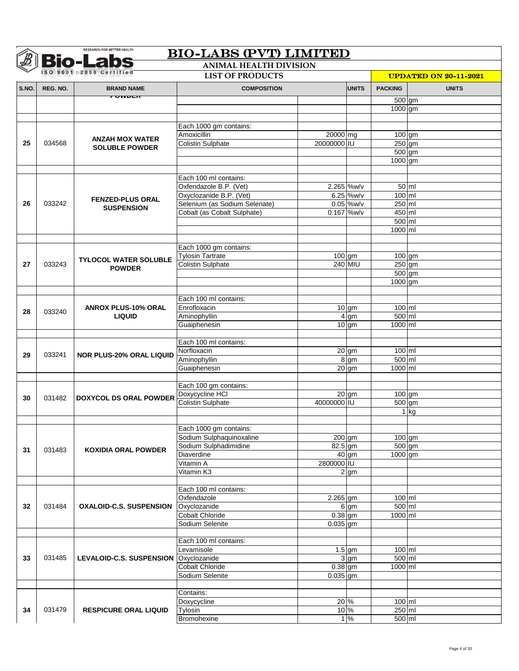|       |          | <b>Bio-Labs</b><br>ISO 9001:2008 Certified   | <b>ANIMAL HEALTH DIVISION</b><br><b>LIST OF PRODUCTS</b> |                     |                    |                   |                                              |  |  |
|-------|----------|----------------------------------------------|----------------------------------------------------------|---------------------|--------------------|-------------------|----------------------------------------------|--|--|
| S.NO. | REG. NO. | <b>BRAND NAME</b>                            | <b>COMPOSITION</b>                                       |                     | <b>UNITS</b>       | <b>PACKING</b>    | <b>UPDATED ON 20-11-2021</b><br><b>UNITS</b> |  |  |
|       |          | TUMULIT                                      |                                                          |                     |                    |                   |                                              |  |  |
|       |          |                                              |                                                          |                     |                    | 500 gm<br>1000 gm |                                              |  |  |
|       |          |                                              |                                                          |                     |                    |                   |                                              |  |  |
|       |          |                                              | Each 1000 gm contains:                                   |                     |                    |                   |                                              |  |  |
|       |          | <b>ANZAH MOX WATER</b>                       | Amoxicillin                                              | 20000 mg            |                    | $100 \text{ gm}$  |                                              |  |  |
| 25    | 034568   | <b>SOLUBLE POWDER</b>                        | <b>Colistin Sulphate</b>                                 | 20000000 IU         |                    | $250$ gm          |                                              |  |  |
|       |          |                                              |                                                          |                     |                    | $500$ gm          |                                              |  |  |
|       |          |                                              |                                                          |                     |                    | 1000 gm           |                                              |  |  |
|       |          |                                              | Each 100 ml contains:                                    |                     |                    |                   |                                              |  |  |
|       |          |                                              | Oxfendazole B.P. (Vet)                                   |                     | 2.265 %w/v         |                   | $50$ ml                                      |  |  |
|       |          |                                              | Oxyclozanide B.P. (Vet)                                  |                     | 6.25 %w/v          | 100 ml            |                                              |  |  |
| 26    | 033242   | <b>FENZED-PLUS ORAL</b><br><b>SUSPENSION</b> | Selenium (as Sodium Selenate)                            |                     | $0.05$ %w/v        | $250$ ml          |                                              |  |  |
|       |          |                                              | Cobalt (as Cobalt Sulphate)                              |                     | 0.167 %w/v         | 450 ml            |                                              |  |  |
|       |          |                                              |                                                          |                     |                    | 500 ml            |                                              |  |  |
|       |          |                                              |                                                          |                     |                    | 1000 ml           |                                              |  |  |
|       |          |                                              |                                                          |                     |                    |                   |                                              |  |  |
|       |          |                                              | Each 1000 gm contains:<br><b>Tylosin Tartrate</b>        |                     |                    | $100$ gm          |                                              |  |  |
| 27    | 033243   | <b>TYLOCOL WATER SOLUBLE</b>                 | <b>Colistin Sulphate</b>                                 | 100 gm              | 240 MIU            | $250$ gm          |                                              |  |  |
|       |          | <b>POWDER</b>                                |                                                          |                     |                    | $500$ gm          |                                              |  |  |
|       |          |                                              |                                                          |                     |                    | 1000 gm           |                                              |  |  |
|       |          |                                              |                                                          |                     |                    |                   |                                              |  |  |
|       |          |                                              | Each 100 ml contains:                                    |                     |                    |                   |                                              |  |  |
| 28    | 033240   | <b>ANROX PLUS-10% ORAL</b>                   | Enrofloxacin                                             |                     | $10$ gm            | 100 ml            |                                              |  |  |
|       |          | <b>LIQUID</b>                                | Aminophyllin                                             |                     | 4 gm               | 500 ml            |                                              |  |  |
|       |          |                                              | Guaiphenesin                                             |                     | $10$ gm            | 1000 ml           |                                              |  |  |
|       |          |                                              | Each 100 ml contains:                                    |                     |                    |                   |                                              |  |  |
|       |          |                                              | Norfloxacin                                              |                     | $\overline{20}$ gm | 100 ml            |                                              |  |  |
| 29    | 033241   | <b>NOR PLUS-20% ORAL LIQUID</b>              | Aminophyllin                                             |                     | $8 \,$ gm          | 500 ml            |                                              |  |  |
|       |          |                                              | Guaiphenesin                                             |                     | $\overline{20}$ gm | 1000 ml           |                                              |  |  |
|       |          |                                              |                                                          |                     |                    |                   |                                              |  |  |
|       |          |                                              | Each 100 gm contains:                                    |                     |                    |                   |                                              |  |  |
| 30    | 031482   | <b>DOXYCOL DS ORAL POWDER</b>                | Doxycycline HCI                                          |                     | $\overline{20}$ gm | $100 \text{ gm}$  |                                              |  |  |
|       |          |                                              | <b>Colistin Sulphate</b>                                 | 40000000 IU         |                    | 500 gm            |                                              |  |  |
|       |          |                                              |                                                          |                     |                    |                   | $1$ kg                                       |  |  |
|       |          |                                              | Each 1000 gm contains:                                   |                     |                    |                   |                                              |  |  |
|       |          |                                              | Sodium Sulphaquinoxaline                                 | $\overline{200}$ gm |                    | $100$ gm          |                                              |  |  |
|       |          |                                              | Sodium Sulphadimidine                                    | $82.5$ gm           |                    | $500$ gm          |                                              |  |  |
| 31    | 031483   | <b>KOXIDIA ORAL POWDER</b>                   | Diaverdine                                               |                     | $\overline{40}$ gm | 1000 gm           |                                              |  |  |
|       |          |                                              | Vitamin A                                                | 2800000 IU          |                    |                   |                                              |  |  |
|       |          |                                              | Vitamin K3                                               |                     | $2 \, \text{gm}$   |                   |                                              |  |  |
|       |          |                                              |                                                          |                     |                    |                   |                                              |  |  |
|       |          |                                              | Each 100 ml contains:<br>Oxfendazole                     | 2.265 gm            |                    | 100 ml            |                                              |  |  |
| 32    | 031484   | <b>OXALOID-C.S. SUSPENSION</b>               | Oxyclozanide                                             |                     | $6 \, \text{gm}$   | 500 ml            |                                              |  |  |
|       |          |                                              | <b>Cobalt Chloride</b>                                   | $0.38$ gm           |                    | 1000 ml           |                                              |  |  |
|       |          |                                              | Sodium Selenite                                          | $0.035$ gm          |                    |                   |                                              |  |  |
|       |          |                                              |                                                          |                     |                    |                   |                                              |  |  |
|       |          |                                              | Each 100 ml contains:                                    |                     |                    |                   |                                              |  |  |
|       |          |                                              | Levamisole                                               |                     | $1.5$ gm           | 100 ml            |                                              |  |  |
| 33    | 031485   | LEVALOID-C.S. SUSPENSION   Oxyclozanide      |                                                          |                     | 3 gm               | 500 ml            |                                              |  |  |
|       |          |                                              | <b>Cobalt Chloride</b>                                   | $0.38$ gm           |                    | 1000 ml           |                                              |  |  |
|       |          |                                              | Sodium Selenite                                          | $0.035$ gm          |                    |                   |                                              |  |  |
|       |          |                                              | Contains:                                                |                     |                    |                   |                                              |  |  |
|       |          |                                              | Doxycycline                                              | 20 %                |                    | 100 ml            |                                              |  |  |
| 34    | 031479   | <b>RESPICURE ORAL LIQUID</b>                 | Tylosin                                                  | 10 %                |                    | $250$ ml          |                                              |  |  |
|       |          |                                              | Bromohexine                                              |                     | $1\%$              | $500$ ml          |                                              |  |  |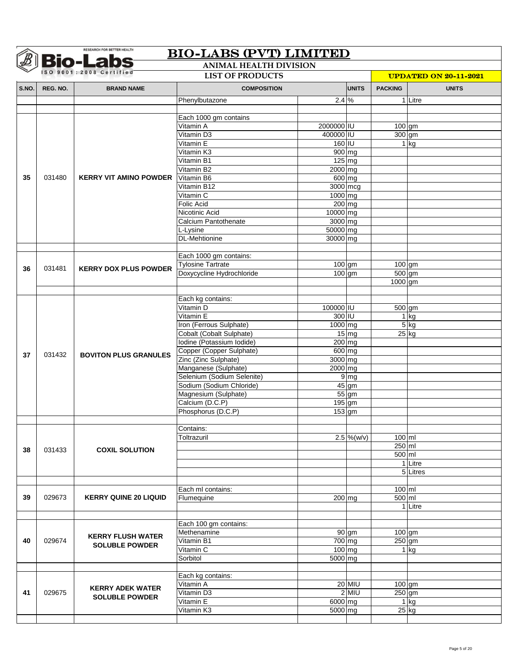|       |          | <b>Bio-Labs</b>               | <b>ANIMAL HEALTH DIVISION</b> |                     |                   |                     |                              |
|-------|----------|-------------------------------|-------------------------------|---------------------|-------------------|---------------------|------------------------------|
|       |          | SO 9001:2008 Certified        | <b>LIST OF PRODUCTS</b>       |                     |                   |                     | <b>UPDATED ON 20-11-2021</b> |
| S.NO. | REG. NO. | <b>BRAND NAME</b>             | <b>COMPOSITION</b>            |                     | <b>UNITS</b>      | <b>PACKING</b>      | <b>UNITS</b>                 |
|       |          |                               | Phenylbutazone                | $2.4\%$             |                   |                     | 1 Litre                      |
|       |          |                               |                               |                     |                   |                     |                              |
|       |          |                               | Each 1000 gm contains         |                     |                   |                     |                              |
|       |          |                               | Vitamin A                     | 2000000 IU          |                   | $\overline{100}$ gm |                              |
|       |          |                               | Vitamin D3                    | 400000 IU           |                   | $300$ gm            |                              |
|       |          |                               | Vitamin E                     | 160 IU              |                   |                     | $1$ kg                       |
|       |          |                               | Vitamin K3                    | $900$ mg            |                   |                     |                              |
|       |          |                               | Vitamin B1                    | $125$ mg            |                   |                     |                              |
|       |          |                               | Vitamin B2                    | 2000 mg             |                   |                     |                              |
| 35    | 031480   | <b>KERRY VIT AMINO POWDER</b> | Vitamin B6                    | 600 mg              |                   |                     |                              |
|       |          |                               | Vitamin B12                   | 3000 mcg            |                   |                     |                              |
|       |          |                               | Vitamin C                     | 1000 mg             |                   |                     |                              |
|       |          |                               | Folic Acid                    | $200$ mg            |                   |                     |                              |
|       |          |                               | Nicotinic Acid                | 10000 mg            |                   |                     |                              |
|       |          |                               | Calcium Pantothenate          | 3000 mg             |                   |                     |                              |
|       |          |                               | L-Lysine                      | 50000 mg            |                   |                     |                              |
|       |          |                               | <b>DL-Mehtionine</b>          | 30000 mg            |                   |                     |                              |
|       |          |                               |                               |                     |                   |                     |                              |
|       |          |                               | Each 1000 gm contains:        |                     |                   |                     |                              |
|       |          |                               | <b>Tylosine Tartrate</b>      | $\overline{100}$ gm |                   | $100$ gm            |                              |
| 36    | 031481   | <b>KERRY DOX PLUS POWDER</b>  | Doxycycline Hydrochloride     | $\overline{100}$ gm |                   | $500$ gm            |                              |
|       |          |                               |                               |                     |                   | 1000 gm             |                              |
|       |          |                               |                               |                     |                   |                     |                              |
|       |          |                               | Each kg contains:             |                     |                   |                     |                              |
|       |          |                               | Vitamin D                     | 100000 IU           |                   | 500 gm              |                              |
|       |          |                               | Vitamin E                     | 300 IU              |                   |                     | $1$ kg                       |
|       |          |                               | Iron (Ferrous Sulphate)       | 1000 mg             |                   |                     | $5$ kg                       |
|       |          |                               | Cobalt (Cobalt Sulphate)      |                     | $15 \, \text{mg}$ |                     | $25$ kg                      |
|       |          |                               | Iodine (Potassium Iodide)     | $200$ mg            |                   |                     |                              |
|       |          |                               | Copper (Copper Sulphate)      | 600 mg              |                   |                     |                              |
| 37    | 031432   | <b>BOVITON PLUS GRANULES</b>  | Zinc (Zinc Sulphate)          | 3000 mg             |                   |                     |                              |
|       |          |                               | Manganese (Sulphate)          | 2000 mg             |                   |                     |                              |
|       |          |                               | Selenium (Sodium Selenite)    |                     | $9 \, \text{mg}$  |                     |                              |
|       |          |                               | Sodium (Sodium Chloride)      |                     | $45$ gm           |                     |                              |
|       |          |                               | Magnesium (Sulphate)          |                     | $55$ gm           |                     |                              |
|       |          |                               | Calcium (D.C.P)               | $195$ gm            |                   |                     |                              |
|       |          |                               | Phosphorus (D.C.P)            | $153$ gm            |                   |                     |                              |
|       |          |                               |                               |                     |                   |                     |                              |
|       |          |                               | Contains:                     |                     |                   |                     |                              |
|       |          |                               | Toltrazuril                   |                     | $2.5\%$ (w/v)     | $100$ ml            |                              |
|       |          |                               |                               |                     |                   | 250 ml              |                              |
| 38    | 031433   | <b>COXIL SOLUTION</b>         |                               |                     |                   | 500 ml              |                              |
|       |          |                               |                               |                     |                   |                     | 1 Litre                      |
|       |          |                               |                               |                     |                   |                     | 5 Litres                     |
|       |          |                               |                               |                     |                   |                     |                              |
|       |          |                               | Each ml contains:             |                     |                   | $100$ ml            |                              |
| 39    | 029673   | <b>KERRY QUINE 20 LIQUID</b>  | Flumequine                    | 200 mg              |                   | 500 ml              |                              |
|       |          |                               |                               |                     |                   |                     | 1 Litre                      |
|       |          |                               |                               |                     |                   |                     |                              |
|       |          |                               | Each 100 gm contains:         |                     |                   |                     |                              |
|       |          |                               | Methenamine                   |                     | 90 gm             |                     | $100$ gm                     |
| 40    | 029674   | <b>KERRY FLUSH WATER</b>      | Vitamin B1                    | 700 mg              |                   | $250$ gm            |                              |
|       |          | <b>SOLUBLE POWDER</b>         | Vitamin C                     | 100 mg              |                   |                     | $1$ kg                       |
|       |          |                               | Sorbitol                      | 5000 mg             |                   |                     |                              |
|       |          |                               |                               |                     |                   |                     |                              |
|       |          |                               | Each kg contains:             |                     |                   |                     |                              |
|       |          |                               | Vitamin A                     |                     | 20 MIU            | $100$ gm            |                              |
|       |          |                               |                               |                     |                   |                     |                              |
|       |          | <b>KERRY ADEK WATER</b>       |                               |                     |                   |                     |                              |
| 41    | 029675   | <b>SOLUBLE POWDER</b>         | Vitamin D3                    |                     | $2$ MIU           | $250$ gm            |                              |
|       |          |                               | Vitamin E<br>Vitamin K3       | 6000 mg<br>5000 mg  |                   |                     | $1$ kg<br>$25$ kg            |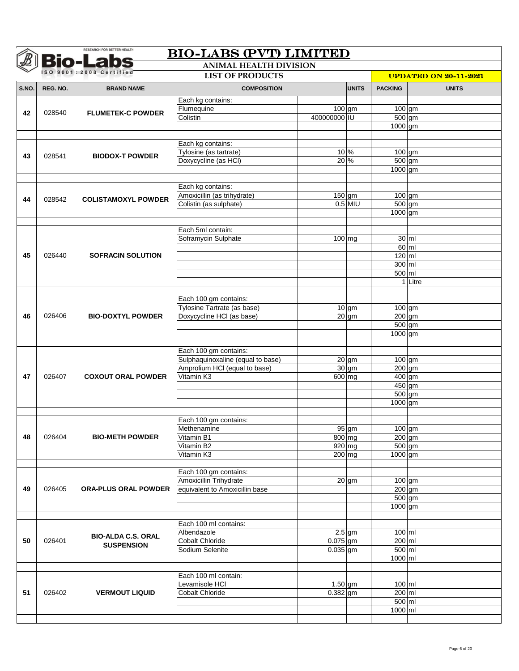|       | <b>Bio-Labs</b><br>ISO 9001:2008 Certified |                             |                                                 |              |                 |                     |                              |
|-------|--------------------------------------------|-----------------------------|-------------------------------------------------|--------------|-----------------|---------------------|------------------------------|
|       |                                            |                             | <b>LIST OF PRODUCTS</b>                         |              |                 |                     | <b>UPDATED ON 20-11-2021</b> |
| S.NO. | REG. NO.                                   | <b>BRAND NAME</b>           | <b>COMPOSITION</b>                              |              | <b>UNITS</b>    | <b>PACKING</b>      | <b>UNITS</b>                 |
|       |                                            |                             | Each kg contains:                               |              |                 |                     |                              |
| 42    | 028540                                     | <b>FLUMETEK-C POWDER</b>    | Flumequine                                      | $100$ gm     |                 | 100 gm              |                              |
|       |                                            |                             | Colistin                                        | 400000000 IU |                 | 500 gm              |                              |
|       |                                            |                             |                                                 |              |                 | 1000 gm             |                              |
|       |                                            |                             | Each kg contains:                               |              |                 |                     |                              |
|       |                                            |                             | Tylosine (as tartrate)                          |              | 10 %            | 100 gm              |                              |
| 43    | 028541                                     | <b>BIODOX-T POWDER</b>      | Doxycycline (as HCI)                            | 20 %         |                 | 500 gm              |                              |
|       |                                            |                             |                                                 |              |                 | 1000 gm             |                              |
|       |                                            |                             |                                                 |              |                 |                     |                              |
|       |                                            |                             | Each kg contains:                               |              |                 |                     |                              |
| 44    | 028542                                     | <b>COLISTAMOXYL POWDER</b>  | Amoxicillin (as trihydrate)                     | $150$ gm     |                 | $100$ gm            |                              |
|       |                                            |                             | Colistin (as sulphate)                          |              | $0.5$ MIU       | 500 gm              |                              |
|       |                                            |                             |                                                 |              |                 | 1000 gm             |                              |
|       |                                            |                             | Each 5ml contain:                               |              |                 |                     |                              |
|       |                                            |                             | Soframycin Sulphate                             | $100$ mg     |                 | $30 \,$ ml          |                              |
|       |                                            |                             |                                                 |              |                 | $60$ ml             |                              |
| 45    | 026440                                     | <b>SOFRACIN SOLUTION</b>    |                                                 |              |                 | $120$ ml            |                              |
|       |                                            |                             |                                                 |              |                 | $300$ ml            |                              |
|       |                                            |                             |                                                 |              |                 | 500 ml              |                              |
|       |                                            |                             |                                                 |              |                 |                     | 1 Litre                      |
|       |                                            |                             |                                                 |              |                 |                     |                              |
|       |                                            |                             | Each 100 gm contains:                           |              |                 |                     |                              |
|       | 026406                                     | <b>BIO-DOXTYL POWDER</b>    | Tylosine Tartrate (as base)                     |              | $10 \text{ gm}$ | $100$ gm            |                              |
| 46    |                                            |                             | Doxycycline HCI (as base)                       |              | $20$ gm         | 200 gm<br>500 gm    |                              |
|       |                                            |                             |                                                 |              |                 | 1000 gm             |                              |
|       |                                            |                             |                                                 |              |                 |                     |                              |
|       |                                            |                             | Each 100 gm contains:                           |              |                 |                     |                              |
|       |                                            |                             | Sulphaquinoxaline (equal to base)               |              | $20$ gm         | 100 gm              |                              |
|       |                                            |                             | Amprolium HCI (equal to base)                   |              | $30 \text{ gm}$ | 200 gm              |                              |
| 47    | 026407                                     | <b>COXOUT ORAL POWDER</b>   | Vitamin K3                                      | 600 mg       |                 | 400 gm              |                              |
|       |                                            |                             |                                                 |              |                 | $450$ gm            |                              |
|       |                                            |                             |                                                 |              |                 | 500 gm<br>$1000$ gm |                              |
|       |                                            |                             |                                                 |              |                 |                     |                              |
|       |                                            |                             | Each 100 gm contains:                           |              |                 |                     |                              |
|       |                                            |                             | Methenamine                                     |              | $95$ gm         | 100 gm              |                              |
| 48    | 026404                                     | <b>BIO-METH POWDER</b>      | Vitamin B1                                      | 800 mg       |                 | $200$ gm            |                              |
|       |                                            |                             | Vitamin B2                                      | 920 mg       |                 | 500 gm              |                              |
|       |                                            |                             | Vitamin K3                                      | 200 mg       |                 | 1000 gm             |                              |
|       |                                            |                             |                                                 |              |                 |                     |                              |
|       |                                            |                             | Each 100 gm contains:<br>Amoxicillin Trihydrate |              |                 |                     |                              |
| 49    | 026405                                     | <b>ORA-PLUS ORAL POWDER</b> | equivalent to Amoxicillin base                  |              | $20$ gm         | 100 gm<br>$200$ gm  |                              |
|       |                                            |                             |                                                 |              |                 | $500$ gm            |                              |
|       |                                            |                             |                                                 |              |                 | 1000 gm             |                              |
|       |                                            |                             |                                                 |              |                 |                     |                              |
|       |                                            |                             | Each 100 ml contains:                           |              |                 |                     |                              |
|       |                                            | <b>BIO-ALDA C.S. ORAL</b>   | Albendazole                                     |              | $2.5$ gm        | $100$ ml            |                              |
| 50    | 026401                                     | <b>SUSPENSION</b>           | <b>Cobalt Chloride</b>                          | $0.075$ gm   |                 | 200 ml              |                              |
|       |                                            |                             | Sodium Selenite                                 | $0.035$ gm   |                 | $500$ ml            |                              |
|       |                                            |                             |                                                 |              |                 | 1000 ml             |                              |
|       |                                            |                             | Each 100 ml contain:                            |              |                 |                     |                              |
|       |                                            |                             | Levamisole HCI                                  | $1.50$ gm    |                 | 100 ml              |                              |
| 51    | 026402                                     | <b>VERMOUT LIQUID</b>       | <b>Cobalt Chloride</b>                          | $0.382$ gm   |                 | $200$ ml            |                              |
|       |                                            |                             |                                                 |              |                 | $500$ ml            |                              |
|       |                                            |                             |                                                 |              |                 |                     |                              |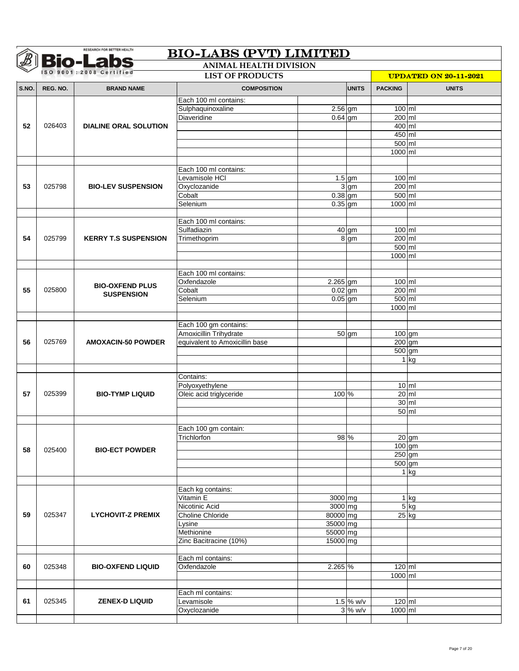|       |          | <b>Bio-Labs</b>                                    | <b>ANIMAL HEALTH DIVISION</b>      |                        |                        |                              |                    |  |
|-------|----------|----------------------------------------------------|------------------------------------|------------------------|------------------------|------------------------------|--------------------|--|
|       |          | ISO 9001:2008 Certified<br><b>LIST OF PRODUCTS</b> |                                    |                        |                        | <b>UPDATED ON 20-11-2021</b> |                    |  |
| S.NO. | REG. NO. | <b>BRAND NAME</b>                                  | <b>COMPOSITION</b>                 |                        | <b>UNITS</b>           | <b>PACKING</b>               | <b>UNITS</b>       |  |
|       |          |                                                    | Each 100 ml contains:              |                        |                        |                              |                    |  |
|       |          |                                                    | Sulphaquinoxaline                  | $2.56$ gm              |                        | 100 ml                       |                    |  |
|       |          |                                                    | Diaveridine                        | $0.64$ gm              |                        | $200$ ml                     |                    |  |
| 52    | 026403   | <b>DIALINE ORAL SOLUTION</b>                       |                                    |                        |                        | 400 ml                       |                    |  |
|       |          |                                                    |                                    |                        |                        | 450 ml                       |                    |  |
|       |          |                                                    |                                    |                        |                        | 500 ml                       |                    |  |
|       |          |                                                    |                                    |                        |                        | 1000 ml                      |                    |  |
|       |          |                                                    | Each 100 ml contains:              |                        |                        |                              |                    |  |
|       |          |                                                    | Levamisole HCI                     |                        | $1.5$ gm               | 100 ml                       |                    |  |
| 53    | 025798   | <b>BIO-LEV SUSPENSION</b>                          | Oxyclozanide                       |                        | $3 \text{ gm}$         | 200 ml                       |                    |  |
|       |          |                                                    | Cobalt                             | $0.38$ gm              |                        | $500$ ml                     |                    |  |
|       |          |                                                    | Selenium                           | $0.35$ gm              |                        | 1000 ml                      |                    |  |
|       |          |                                                    |                                    |                        |                        |                              |                    |  |
|       |          |                                                    | Each 100 ml contains:              |                        |                        |                              |                    |  |
|       |          |                                                    | Sulfadiazin                        |                        | $\overline{40}$ gm     | 100 ml                       |                    |  |
| 54    | 025799   | <b>KERRY T.S SUSPENSION</b>                        | Trimethoprim                       |                        | 8 gm                   | 200 ml                       |                    |  |
|       |          |                                                    |                                    |                        |                        | $500$ ml                     |                    |  |
|       |          |                                                    |                                    |                        |                        | 1000 ml                      |                    |  |
|       |          |                                                    |                                    |                        |                        |                              |                    |  |
|       |          |                                                    | Each 100 ml contains:              |                        |                        |                              |                    |  |
| 55    | 025800   | <b>BIO-OXFEND PLUS</b>                             | Oxfendazole<br>Cobalt              | 2.265 gm               |                        | $100$ ml<br>$200$ ml         |                    |  |
|       |          | <b>SUSPENSION</b>                                  | Selenium                           | $0.02$ gm<br>$0.05$ gm |                        | 500 ml                       |                    |  |
|       |          |                                                    |                                    |                        |                        | 1000 ml                      |                    |  |
|       |          |                                                    |                                    |                        |                        |                              |                    |  |
|       |          |                                                    | Each 100 gm contains:              |                        |                        |                              |                    |  |
|       |          |                                                    | Amoxicillin Trihydrate             |                        | $50$ gm                | 100 gm                       |                    |  |
| 56    | 025769   | <b>AMOXACIN-50 POWDER</b>                          | equivalent to Amoxicillin base     |                        |                        | $200$ gm                     |                    |  |
|       |          |                                                    |                                    |                        |                        | 500 gm                       |                    |  |
|       |          |                                                    |                                    |                        |                        |                              | $1$ kg             |  |
|       |          |                                                    |                                    |                        |                        |                              |                    |  |
|       |          |                                                    | Contains:                          |                        |                        |                              |                    |  |
|       |          |                                                    | Polyoxyethylene                    |                        |                        |                              | $10 \mathrm{m}$    |  |
| 57    | 025399   | <b>BIO-TYMP LIQUID</b>                             | Oleic acid triglyceride            | 100 %                  |                        | $20$ ml                      | $30$ ml            |  |
|       |          |                                                    |                                    |                        |                        |                              | $50$ ml            |  |
|       |          |                                                    |                                    |                        |                        |                              |                    |  |
|       |          |                                                    | Each 100 gm contain:               |                        |                        |                              |                    |  |
|       |          |                                                    | Trichlorfon                        | 98 %                   |                        |                              | $\overline{20}$ gm |  |
|       |          |                                                    |                                    |                        |                        | $100$ gm                     |                    |  |
| 58    | 025400   | <b>BIO-ECT POWDER</b>                              |                                    |                        |                        | 250 gm                       |                    |  |
|       |          |                                                    |                                    |                        |                        | $500$ gm                     |                    |  |
|       |          |                                                    |                                    |                        |                        |                              | $1$ kg             |  |
|       |          |                                                    |                                    |                        |                        |                              |                    |  |
|       |          |                                                    | Each kg contains:                  |                        |                        |                              |                    |  |
|       |          |                                                    | Vitamin E                          | 3000 mg                |                        |                              | $1$ kg             |  |
| 59    | 025347   | <b>LYCHOVIT-Z PREMIX</b>                           | Nicotinic Acid<br>Choline Chloride | 3000 mg                |                        |                              | 5 kg               |  |
|       |          |                                                    | Lysine                             | 80000 mg<br>35000 mg   |                        |                              | $25$ kg            |  |
|       |          |                                                    | Methionine                         | 55000 mg               |                        |                              |                    |  |
|       |          |                                                    | Zinc Bacitracine (10%)             | 15000 mg               |                        |                              |                    |  |
|       |          |                                                    |                                    |                        |                        |                              |                    |  |
|       |          |                                                    | Each ml contains:                  |                        |                        |                              |                    |  |
|       |          | <b>BIO-OXFEND LIQUID</b>                           | Oxfendazole                        | 2.265 %                |                        | $120$ ml                     |                    |  |
| 60    | 025348   |                                                    |                                    |                        |                        |                              |                    |  |
|       |          |                                                    |                                    |                        |                        | 1000 ml                      |                    |  |
|       |          |                                                    |                                    |                        |                        |                              |                    |  |
|       |          |                                                    | Each ml contains:                  |                        |                        |                              |                    |  |
| 61    | 025345   | <b>ZENEX-D LIQUID</b>                              | Levamisole<br>Oxyclozanide         |                        | 1.5 % w/v<br>$3\%$ W/V | $120$ ml<br>1000 ml          |                    |  |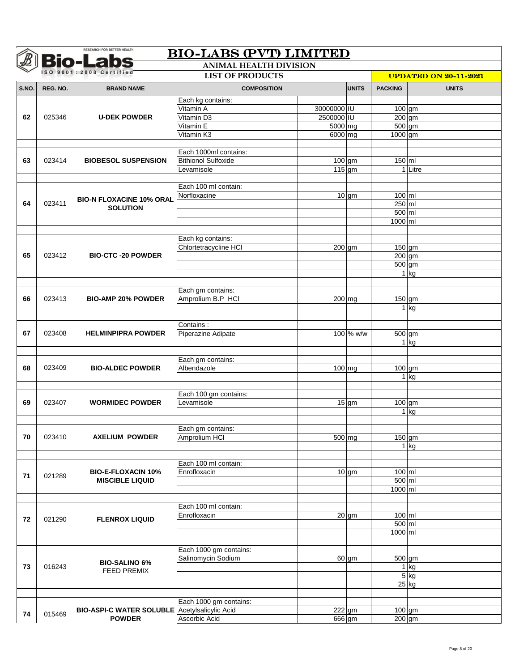|       |          | <b>Bio-Labs</b>                                                       | <b>ANIMAL HEALTH DIVISION</b> |             |                     |                              |              |  |
|-------|----------|-----------------------------------------------------------------------|-------------------------------|-------------|---------------------|------------------------------|--------------|--|
|       |          | ISO 9001:2008 Certified                                               | <b>LIST OF PRODUCTS</b>       |             |                     | <b>UPDATED ON 20-11-2021</b> |              |  |
| S.NO. | REG. NO. | <b>BRAND NAME</b>                                                     | <b>COMPOSITION</b>            |             | <b>UNITS</b>        | <b>PACKING</b>               | <b>UNITS</b> |  |
|       |          |                                                                       | Each kg contains:             |             |                     |                              |              |  |
|       |          |                                                                       | Vitamin A                     | 30000000 IU |                     | $100$ gm                     |              |  |
| 62    | 025346   | <b>U-DEK POWDER</b>                                                   | Vitamin D3                    | 2500000 IU  |                     | 200 gm                       |              |  |
|       |          |                                                                       | Vitamin E                     | 5000 mg     |                     | 500 gm                       |              |  |
|       |          |                                                                       | Vitamin K3                    | 6000 mg     |                     | 1000 gm                      |              |  |
|       |          |                                                                       | Each 1000ml contains:         |             |                     |                              |              |  |
| 63    | 023414   | <b>BIOBESOL SUSPENSION</b>                                            | <b>Bithionol Sulfoxide</b>    | $100$ gm    |                     | $150$ ml                     |              |  |
|       |          |                                                                       | Levamisole                    | $115$ gm    |                     |                              | 1 Litre      |  |
|       |          |                                                                       |                               |             |                     |                              |              |  |
|       |          |                                                                       | Each 100 ml contain:          |             |                     |                              |              |  |
|       |          | <b>BIO-N FLOXACINE 10% ORAL</b>                                       | Norfloxacine                  |             | $10$ gm             | 100 ml                       |              |  |
| 64    | 023411   | <b>SOLUTION</b>                                                       |                               |             |                     | $250$ ml                     |              |  |
|       |          |                                                                       |                               |             |                     | $500$ ml                     |              |  |
|       |          |                                                                       |                               |             |                     | 1000 ml                      |              |  |
|       |          |                                                                       | Each kg contains:             |             |                     |                              |              |  |
|       |          |                                                                       | Chlortetracycline HCI         | 200 gm      |                     | 150 gm                       |              |  |
| 65    | 023412   | <b>BIO-CTC -20 POWDER</b>                                             |                               |             |                     | 200 gm                       |              |  |
|       |          |                                                                       |                               |             |                     | 500 gm                       |              |  |
|       |          |                                                                       |                               |             |                     |                              | $1$ kg       |  |
|       |          |                                                                       |                               |             |                     |                              |              |  |
|       | 023413   | <b>BIO-AMP 20% POWDER</b>                                             | Each gm contains:             |             |                     |                              |              |  |
| 66    |          |                                                                       | Amprolium B.P HCI             | 200 mg      |                     | 150 gm                       | $1$ kg       |  |
|       |          |                                                                       |                               |             |                     |                              |              |  |
|       |          |                                                                       | Contains:                     |             |                     |                              |              |  |
| 67    | 023408   | <b>HELMINPIPRA POWDER</b>                                             | Piperazine Adipate            |             | 100 % w/w           | 500 gm                       |              |  |
|       |          |                                                                       |                               |             |                     |                              | $1$ kg       |  |
|       |          |                                                                       |                               |             |                     |                              |              |  |
|       |          |                                                                       | Each gm contains:             |             |                     |                              |              |  |
| 68    | 023409   | <b>BIO-ALDEC POWDER</b>                                               | Albendazole                   | $100$ mg    |                     | 100 gm                       |              |  |
|       |          |                                                                       |                               |             |                     |                              | $1$ kg       |  |
|       |          |                                                                       | Each 100 gm contains:         |             |                     |                              |              |  |
| 69    | 023407   | <b>WORMIDEC POWDER</b>                                                | Levamisole                    |             | $15$ gm             | $100$ gm                     |              |  |
|       |          |                                                                       |                               |             |                     |                              | $1$ kg       |  |
|       |          |                                                                       |                               |             |                     |                              |              |  |
|       |          |                                                                       | Each gm contains:             |             |                     |                              |              |  |
| 70    | 023410   | <b>AXELIUM POWDER</b>                                                 | Amprolium HCI                 |             | $\overline{500}$ mg | 150 gm                       |              |  |
|       |          |                                                                       |                               |             |                     |                              | $1$ kg       |  |
|       |          |                                                                       | Each 100 ml contain:          |             |                     |                              |              |  |
|       |          | <b>BIO-E-FLOXACIN 10%</b>                                             | Enrofloxacin                  |             | $10$ gm             | 100 ml                       |              |  |
| 71    | 021289   | <b>MISCIBLE LIQUID</b>                                                |                               |             |                     | 500 ml                       |              |  |
|       |          |                                                                       |                               |             |                     | 1000 ml                      |              |  |
|       |          |                                                                       |                               |             |                     |                              |              |  |
|       |          |                                                                       | Each 100 ml contain:          |             |                     |                              |              |  |
| 72    | 021290   | <b>FLENROX LIQUID</b>                                                 | Enrofloxacin                  |             | $20$ gm             | $100$ ml                     |              |  |
|       |          |                                                                       |                               |             |                     | 500 ml<br>1000 ml            |              |  |
|       |          |                                                                       |                               |             |                     |                              |              |  |
|       |          |                                                                       | Each 1000 gm contains:        |             |                     |                              |              |  |
|       |          |                                                                       | Salinomycin Sodium            |             | 60 gm               | 500 gm                       |              |  |
| 73    | 016243   | <b>BIO-SALINO 6%</b><br>FEED PREMIX                                   |                               |             |                     |                              | $1$ kg       |  |
|       |          |                                                                       |                               |             |                     |                              | $5$ kg       |  |
|       |          |                                                                       |                               |             |                     |                              | 25 kg        |  |
|       |          |                                                                       |                               |             |                     |                              |              |  |
|       |          |                                                                       | Each 1000 gm contains:        |             |                     |                              |              |  |
| 74    | 015469   | <b>BIO-ASPI-C WATER SOLUBLE Acetylsalicylic Acid</b><br><b>POWDER</b> |                               |             | 222 gm              | $100$ gm                     |              |  |
|       |          |                                                                       | Ascorbic Acid                 |             | 666 gm              | 200 gm                       |              |  |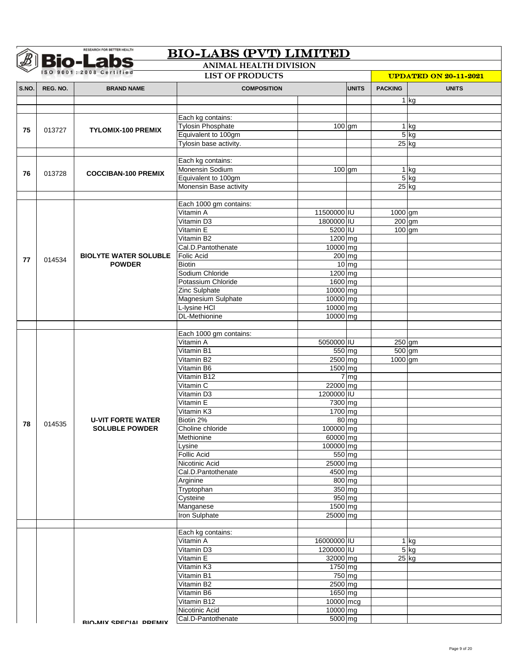|       |                        | <b>Bio-Labs</b>              | <b>ANIMAL HEALTH DIVISION</b>  |                       |                            |                |                              |
|-------|------------------------|------------------------------|--------------------------------|-----------------------|----------------------------|----------------|------------------------------|
|       | SO 9001:2008 Certified |                              | <b>LIST OF PRODUCTS</b>        |                       |                            |                | <b>UPDATED ON 20-11-2021</b> |
| S.NO. | REG. NO.               | <b>BRAND NAME</b>            | <b>COMPOSITION</b>             |                       | <b>UNITS</b>               | <b>PACKING</b> | <b>UNITS</b>                 |
|       |                        |                              |                                |                       |                            |                | 1 kg                         |
|       |                        |                              |                                |                       |                            |                |                              |
|       |                        |                              | Each kg contains:              |                       |                            |                |                              |
| 75    | 013727                 | <b>TYLOMIX-100 PREMIX</b>    | <b>Tylosin Phosphate</b>       | $\overline{100}$ gm   |                            |                | $1$ kg                       |
|       |                        |                              | Equivalent to 100gm            |                       |                            |                | $5$ kg                       |
|       |                        |                              | Tylosin base activity.         |                       |                            |                | $25$ kg                      |
|       |                        |                              |                                |                       |                            |                |                              |
|       |                        |                              | Each kg contains:              |                       |                            |                |                              |
| 76    | 013728                 | <b>COCCIBAN-100 PREMIX</b>   | Monensin Sodium                | $100$ gm              |                            |                | $\overline{1}$ kg            |
|       |                        |                              | Equivalent to 100gm            |                       |                            |                | $5$ kg                       |
|       |                        |                              | Monensin Base activity         |                       |                            |                | $25$ kg                      |
|       |                        |                              | Each 1000 gm contains:         |                       |                            |                |                              |
|       |                        |                              | Vitamin A                      | 11500000 IU           |                            | 1000 gm        |                              |
|       |                        |                              | Vitamin D3                     | 1800000 IU            |                            | $200$ gm       |                              |
|       |                        |                              | Vitamin E                      | 5200 IU               |                            | $100$ gm       |                              |
|       |                        |                              | Vitamin B2                     | 1200 mg               |                            |                |                              |
|       |                        |                              | Cal.D.Pantothenate             | 10000 mg              |                            |                |                              |
|       |                        | <b>BIOLYTE WATER SOLUBLE</b> | <b>Folic Acid</b>              | $200$ mg              |                            |                |                              |
| 77    | 014534                 | <b>POWDER</b>                | <b>Biotin</b>                  |                       | $10$ mg                    |                |                              |
|       |                        |                              | Sodium Chloride                | 1200 mg               |                            |                |                              |
|       |                        |                              | Potassium Chloride             | 1600 mg               |                            |                |                              |
|       |                        |                              | Zinc Sulphate                  | 10000 mg              |                            |                |                              |
|       |                        |                              | <b>Magnesium Sulphate</b>      | 10000 mg              |                            |                |                              |
|       |                        |                              | L-lysine HCI                   | 10000 mg              |                            |                |                              |
|       |                        |                              | <b>DL-Methionine</b>           | 10000 mg              |                            |                |                              |
|       |                        |                              |                                |                       |                            |                |                              |
|       |                        |                              | Each 1000 gm contains:         |                       |                            |                |                              |
|       |                        |                              | Vitamin A                      | 5050000 IU            |                            |                | $250$ gm                     |
|       |                        |                              | Vitamin B1                     | $550$ mg              |                            | $500$ gm       |                              |
|       |                        |                              | Vitamin B2                     | 2500 mg               |                            | 1000 gm        |                              |
|       |                        |                              | Vitamin B6                     | 1500 mg               |                            |                |                              |
|       |                        |                              | Vitamin B12                    |                       | $7 \overline{\mathrm{mg}}$ |                |                              |
|       |                        |                              | Vitamin C                      | 22000 mg              |                            |                |                              |
|       |                        |                              | Vitamin D3                     | 1200000 IU            |                            |                |                              |
|       |                        |                              | Vitamin E                      | 7300 mg               |                            |                |                              |
|       |                        |                              | Vitamin K3                     | $1700$ mg             |                            |                |                              |
| 78    | 014535                 | <b>U-VIT FORTE WATER</b>     | Biotin 2%                      |                       | $80$ mg                    |                |                              |
|       |                        | <b>SOLUBLE POWDER</b>        | Choline chloride<br>Methionine | 100000 mg<br>60000 mg |                            |                |                              |
|       |                        |                              |                                | 100000 mg             |                            |                |                              |
|       |                        |                              | Lysine<br>Follic Acid          | 550 mg                |                            |                |                              |
|       |                        |                              | Nicotinic Acid                 | 25000 mg              |                            |                |                              |
|       |                        |                              | Cal.D.Pantothenate             | 4500 mg               |                            |                |                              |
|       |                        |                              | Arginine                       | 800 mg                |                            |                |                              |
|       |                        |                              | Tryptophan                     | 350 mg                |                            |                |                              |
|       |                        |                              | Cysteine                       | 950 mg                |                            |                |                              |
|       |                        |                              | Manganese                      | 1500 mg               |                            |                |                              |
|       |                        |                              | Iron Sulphate                  | 25000 mg              |                            |                |                              |
|       |                        |                              |                                |                       |                            |                |                              |
|       |                        |                              | Each kg contains:              |                       |                            |                |                              |
|       |                        |                              | Vitamin A                      | 16000000 IU           |                            |                | $1$ kg                       |
|       |                        |                              | Vitamin D3                     | 1200000 IU            |                            |                | $5$ kg                       |
|       |                        |                              | Vitamin E                      | 32000 mg              |                            |                | $25$ kg                      |
|       |                        |                              | Vitamin K3                     | 1750 mg               |                            |                |                              |
|       |                        |                              | Vitamin B1                     | 750 mg                |                            |                |                              |
|       |                        |                              | Vitamin B2                     | 2500 mg               |                            |                |                              |
|       |                        |                              | Vitamin B6                     | 1650 mg               |                            |                |                              |
|       |                        |                              | Vitamin B12                    | 10000 mcg             |                            |                |                              |
|       |                        |                              | Nicotinic Acid                 | $10000$ mg            |                            |                |                              |
|       |                        | RIO.MIY CDECIAL DDEMIY       | Cal.D-Pantothenate             | 5000 mg               |                            |                |                              |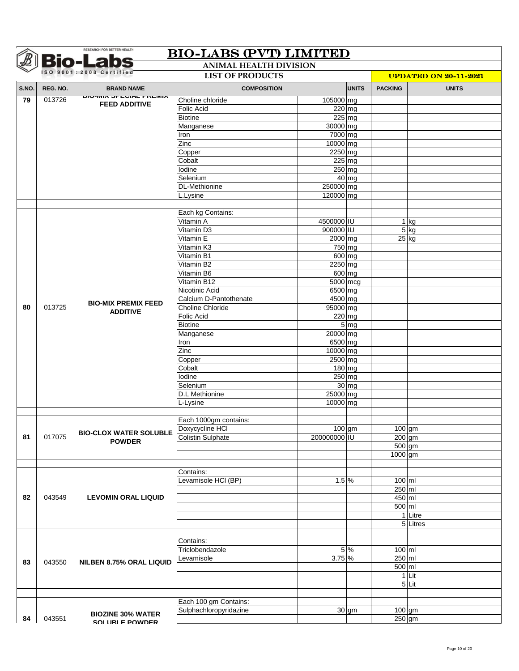|       |          | <b>Bio-Labs</b><br>ISO 9001:2008 Certified                     | <b>ANIMAL HEALTH DIVISION</b><br><b>LIST OF PRODUCTS</b> |                     |                     |                |                              |  |  |
|-------|----------|----------------------------------------------------------------|----------------------------------------------------------|---------------------|---------------------|----------------|------------------------------|--|--|
|       |          |                                                                |                                                          |                     |                     |                | <b>UPDATED ON 20-11-2021</b> |  |  |
| S.NO. | REG. NO. | <b>BRAND NAME</b>                                              | <b>COMPOSITION</b>                                       |                     | <b>UNITS</b>        | <b>PACKING</b> | <b>UNITS</b>                 |  |  |
| 79    | 013726   | <u> אוויו אז דאמוט זו על אוויזיטוט</u><br><b>FEED ADDITIVE</b> | Choline chloride                                         | 105000 mg           |                     |                |                              |  |  |
|       |          |                                                                | <b>Folic Acid</b>                                        |                     | $\overline{220}$ mg |                |                              |  |  |
|       |          |                                                                | <b>Biotine</b>                                           |                     | 225 mg              |                |                              |  |  |
|       |          |                                                                | Manganese                                                | 30000 mg            |                     |                |                              |  |  |
|       |          |                                                                | Iron<br>Zinc                                             | 7000 mg<br>10000 mg |                     |                |                              |  |  |
|       |          |                                                                | Copper                                                   | 2250 mg             |                     |                |                              |  |  |
|       |          |                                                                | Cobalt                                                   |                     | $225$ mg            |                |                              |  |  |
|       |          |                                                                | Iodine                                                   |                     | 250 mg              |                |                              |  |  |
|       |          |                                                                | Selenium                                                 |                     | $40$ mg             |                |                              |  |  |
|       |          |                                                                | <b>DL-Methionine</b>                                     | 250000 mg           |                     |                |                              |  |  |
|       |          |                                                                | L.Lysine                                                 | 120000 mg           |                     |                |                              |  |  |
|       |          |                                                                |                                                          |                     |                     |                |                              |  |  |
|       |          |                                                                | Each kg Contains:                                        |                     |                     |                |                              |  |  |
|       |          |                                                                | Vitamin A                                                | 4500000 IU          |                     |                | $1$ kg                       |  |  |
|       |          |                                                                | Vitamin D3                                               | 900000 IU           |                     |                | $5$ kg                       |  |  |
|       |          |                                                                | Vitamin E                                                | 2000 mg             |                     |                | $25$ kg                      |  |  |
|       |          |                                                                | Vitamin K3                                               | 750 mg              |                     |                |                              |  |  |
|       |          |                                                                | Vitamin B1                                               | $600$ mg            |                     |                |                              |  |  |
|       |          |                                                                | Vitamin B2                                               | 2250 mg             |                     |                |                              |  |  |
|       |          |                                                                | Vitamin B6                                               | $600$ mg            |                     |                |                              |  |  |
|       |          |                                                                | Vitamin B12                                              | $5000$ mcg          |                     |                |                              |  |  |
|       |          |                                                                | Nicotinic Acid                                           | 6500 mg             |                     |                |                              |  |  |
|       |          | <b>BIO-MIX PREMIX FEED</b>                                     | Calcium D-Pantothenate                                   | 4500 mg             |                     |                |                              |  |  |
| 80    | 013725   | <b>ADDITIVE</b>                                                | Choline Chloride                                         | 95000 mg            |                     |                |                              |  |  |
|       |          |                                                                | <b>Folic Acid</b>                                        |                     | 220 mg              |                |                              |  |  |
|       |          |                                                                | <b>Biotine</b>                                           | 20000 mg            | 5 <sub>mg</sub>     |                |                              |  |  |
|       |          |                                                                | Manganese<br>Iron                                        | 6500 mg             |                     |                |                              |  |  |
|       |          |                                                                | Zinc                                                     | 10000 mg            |                     |                |                              |  |  |
|       |          |                                                                | Copper                                                   | 2500 mg             |                     |                |                              |  |  |
|       |          |                                                                | Cobalt                                                   | $180$ mg            |                     |                |                              |  |  |
|       |          |                                                                | Iodine                                                   |                     | 250 mg              |                |                              |  |  |
|       |          |                                                                | Selenium                                                 |                     | $30$ mg             |                |                              |  |  |
|       |          |                                                                | <b>D.L Methionine</b>                                    | 25000 mg            |                     |                |                              |  |  |
|       |          |                                                                | L-Lysine                                                 | 10000 mg            |                     |                |                              |  |  |
|       |          |                                                                |                                                          |                     |                     |                |                              |  |  |
|       |          |                                                                | Each 1000gm contains:                                    |                     |                     |                |                              |  |  |
|       |          | <b>BIO-CLOX WATER SOLUBLE</b>                                  | Doxycycline HCI                                          |                     | $100$ gm            | $100$ gm       |                              |  |  |
| 81    | 017075   | <b>POWDER</b>                                                  | <b>Colistin Sulphate</b>                                 | 200000000 IU        |                     |                | $200$ gm                     |  |  |
|       |          |                                                                |                                                          |                     |                     | 500 gm         |                              |  |  |
|       |          |                                                                |                                                          |                     |                     | 1000 gm        |                              |  |  |
|       |          |                                                                |                                                          |                     |                     |                |                              |  |  |
|       |          |                                                                | Contains:                                                |                     |                     |                |                              |  |  |
|       |          |                                                                | Levamisole HCI (BP)                                      | $1.5\%$             |                     | $100$ ml       |                              |  |  |
|       |          |                                                                |                                                          |                     |                     | $250$ ml       |                              |  |  |
| 82    | 043549   | <b>LEVOMIN ORAL LIQUID</b>                                     |                                                          |                     |                     | 450 ml         |                              |  |  |
|       |          |                                                                |                                                          |                     |                     | 500 ml         | 1 Litre                      |  |  |
|       |          |                                                                |                                                          |                     |                     |                | 5 Litres                     |  |  |
|       |          |                                                                |                                                          |                     |                     |                |                              |  |  |
|       |          |                                                                | Contains:                                                |                     |                     |                |                              |  |  |
|       |          |                                                                | Triclobendazole                                          |                     | 5 %                 | 100 ml         |                              |  |  |
|       |          |                                                                | Levamisole                                               | $3.75\%$            |                     | 250 ml         |                              |  |  |
| 83    | 043550   | <b>NILBEN 8.75% ORAL LIQUID</b>                                |                                                          |                     |                     | 500 ml         |                              |  |  |
|       |          |                                                                |                                                          |                     |                     |                | 1 Lit                        |  |  |
|       |          |                                                                |                                                          |                     |                     |                | $5$ Lit                      |  |  |
|       |          |                                                                |                                                          |                     |                     |                |                              |  |  |
|       |          |                                                                | Each 100 gm Contains:                                    |                     |                     |                |                              |  |  |
|       |          |                                                                | Sulphachloropyridazine                                   |                     | $30$ gm             | $100$ gm       |                              |  |  |
| 84    | 043551   | <b>BIOZINE 30% WATER</b><br>SOLURI E POWDER                    |                                                          |                     |                     | $250$ gm       |                              |  |  |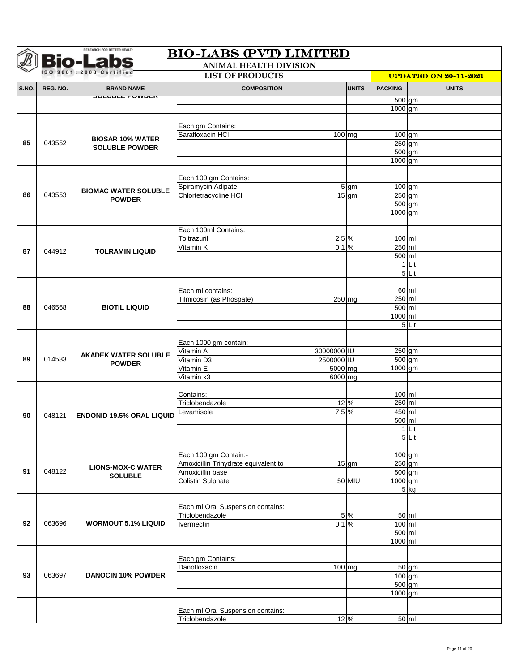|       |          | <b>Bio-Labs</b><br>ISO 9001:2008 Certified | <b>ANIMAL HEALTH DIVISION</b>                                 |                                 |                   |                      |                              |
|-------|----------|--------------------------------------------|---------------------------------------------------------------|---------------------------------|-------------------|----------------------|------------------------------|
|       |          |                                            | <b>LIST OF PRODUCTS</b>                                       |                                 |                   |                      | <b>UPDATED ON 20-11-2021</b> |
| S.NO. | REG. NO. | <b>BRAND NAME</b>                          | <b>COMPOSITION</b>                                            |                                 | <b>UNITS</b>      | <b>PACKING</b>       | <b>UNITS</b>                 |
|       |          | ᡂᡄ <b>ᡂᡄᡄ᠇᠊ᢦ᠊ᠬᠣᡄ</b> ᡳ                     |                                                               |                                 |                   | 500 gm               |                              |
|       |          |                                            |                                                               |                                 |                   | 1000 gm              |                              |
|       |          |                                            |                                                               |                                 |                   |                      |                              |
|       |          |                                            | Each gm Contains:<br>Sarafloxacin HCI                         | $\overline{100}$ mg             |                   | $100$ gm             |                              |
| 85    | 043552   | <b>BIOSAR 10% WATER</b>                    |                                                               |                                 |                   | $250$ gm             |                              |
|       |          | <b>SOLUBLE POWDER</b>                      |                                                               |                                 |                   | 500 gm               |                              |
|       |          |                                            |                                                               |                                 |                   | 1000 gm              |                              |
|       |          |                                            |                                                               |                                 |                   |                      |                              |
|       |          |                                            | Each 100 gm Contains:                                         |                                 |                   |                      |                              |
|       |          | <b>BIOMAC WATER SOLUBLE</b>                | Spiramycin Adipate                                            |                                 | $5 \, \mathrm{g}$ | 100 gm               |                              |
| 86    | 043553   | <b>POWDER</b>                              | Chlortetracycline HCI                                         |                                 | $15$ gm           | $250$ gm             |                              |
|       |          |                                            |                                                               |                                 |                   | 500 gm<br>1000 gm    |                              |
|       |          |                                            |                                                               |                                 |                   |                      |                              |
|       |          |                                            | Each 100ml Contains:                                          |                                 |                   |                      |                              |
|       |          |                                            | Toltrazuril                                                   | $2.5\%$                         |                   | 100 ml               |                              |
| 87    | 044912   | <b>TOLRAMIN LIQUID</b>                     | Vitamin K                                                     | 0.1%                            |                   | $250$ ml             |                              |
|       |          |                                            |                                                               |                                 |                   | 500 ml               |                              |
|       |          |                                            |                                                               |                                 |                   | $\mathbf{1}$         | Lit                          |
|       |          |                                            |                                                               |                                 |                   |                      | $5$ Lit                      |
|       |          |                                            |                                                               |                                 |                   |                      |                              |
|       |          |                                            | Each ml contains:<br>Tilmicosin (as Phospate)                 | 250 mg                          |                   | 250 ml               | 60 ml                        |
| 88    | 046568   | <b>BIOTIL LIQUID</b>                       |                                                               |                                 |                   | 500 ml               |                              |
|       |          |                                            |                                                               |                                 |                   | 1000 ml              |                              |
|       |          |                                            |                                                               |                                 |                   |                      | 5Lit                         |
|       |          |                                            |                                                               |                                 |                   |                      |                              |
|       |          |                                            | Each 1000 gm contain:                                         |                                 |                   |                      |                              |
|       |          | <b>AKADEK WATER SOLUBLE</b>                | Vitamin A                                                     | 30000000 IU                     |                   | 250 gm               |                              |
| 89    | 014533   | <b>POWDER</b>                              | Vitamin D3                                                    | 2500000 IU                      |                   | 500 gm               |                              |
|       |          |                                            | Vitamin E<br>Vitamin k3                                       | $\overline{5000}$ mg<br>6000 mg |                   | 1000 gm              |                              |
|       |          |                                            |                                                               |                                 |                   |                      |                              |
|       |          |                                            | Contains:                                                     |                                 |                   | 100 ml               |                              |
|       |          |                                            | Triclobendazole                                               | 12 %                            |                   | $250$ ml             |                              |
| 90    | 048121   | <b>ENDONID 19.5% ORAL LIQUID</b>           | Levamisole                                                    | 7.5 %                           |                   | 450 ml               |                              |
|       |          |                                            |                                                               |                                 |                   | 500 ml               |                              |
|       |          |                                            |                                                               |                                 |                   |                      | 1 Lit                        |
|       |          |                                            |                                                               |                                 |                   |                      | $5$ Lit                      |
|       |          |                                            |                                                               |                                 |                   |                      |                              |
|       |          |                                            | Each 100 gm Contain:-<br>Amoxicillin Trihydrate equivalent to |                                 | $15$ gm           | $100$ gm<br>$250$ gm |                              |
| 91    | 048122   | <b>LIONS-MOX-C WATER</b>                   | Amoxicillin base                                              |                                 |                   | 500 gm               |                              |
|       |          | <b>SOLUBLE</b>                             | <b>Colistin Sulphate</b>                                      |                                 | 50 MIU            | 1000 gm              |                              |
|       |          |                                            |                                                               |                                 |                   |                      | 5 kg                         |
|       |          |                                            |                                                               |                                 |                   |                      |                              |
|       |          |                                            | Each ml Oral Suspension contains:                             |                                 |                   |                      |                              |
|       |          |                                            | Triclobendazole                                               |                                 | 5 %               |                      | $50 \, \text{ml}$            |
| 92    | 063696   | <b>WORMOUT 5.1% LIQUID</b>                 | Ivermectin                                                    | 0.1%                            |                   | 100 ml               |                              |
|       |          |                                            |                                                               |                                 |                   | 500 ml               |                              |
|       |          |                                            |                                                               |                                 |                   | 1000 ml              |                              |
|       |          |                                            | Each gm Contains:                                             |                                 |                   |                      |                              |
|       |          |                                            | Danofloxacin                                                  | 100 mg                          |                   |                      | 50 gm                        |
| 93    | 063697   | <b>DANOCIN 10% POWDER</b>                  |                                                               |                                 |                   | 100 gm               |                              |
|       |          |                                            |                                                               |                                 |                   | 500 gm               |                              |
|       |          |                                            |                                                               |                                 |                   | 1000 gm              |                              |
|       |          |                                            |                                                               |                                 |                   |                      |                              |
|       |          |                                            | Each ml Oral Suspension contains:                             |                                 |                   |                      |                              |
|       |          |                                            | Triclobendazole                                               | 12 %                            |                   |                      | 50 ml                        |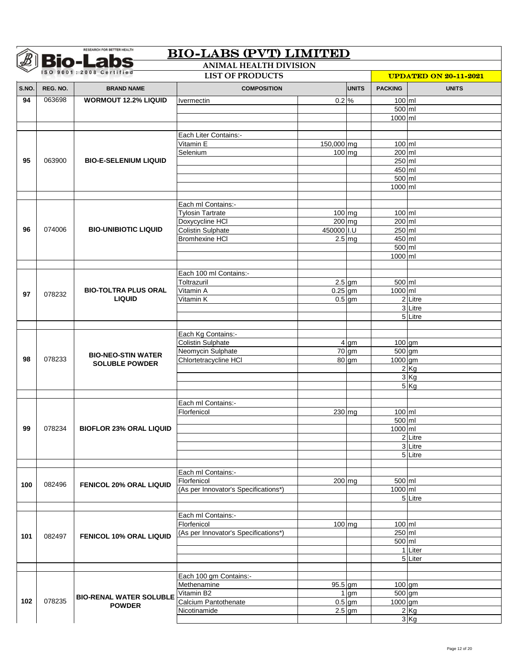|       |          | <b>Bio-Labs</b><br>ISO 9001:2008 Certified | <b>ANIMAL HEALTH DIVISION</b>                       |                      |              |                              |                      |  |
|-------|----------|--------------------------------------------|-----------------------------------------------------|----------------------|--------------|------------------------------|----------------------|--|
|       |          |                                            | <b>LIST OF PRODUCTS</b>                             |                      |              | <b>UPDATED ON 20-11-2021</b> |                      |  |
| S.NO. | REG. NO. | <b>BRAND NAME</b>                          | <b>COMPOSITION</b>                                  |                      | <b>UNITS</b> | <b>PACKING</b>               | <b>UNITS</b>         |  |
| 94    | 063698   | <b>WORMOUT 12.2% LIQUID</b>                | <i><u><b>Ivermectin</b></u></i>                     | $0.2\%$              |              | 100 ml                       |                      |  |
|       |          |                                            |                                                     |                      |              | 500 ml                       |                      |  |
|       |          |                                            |                                                     |                      |              | 1000 ml                      |                      |  |
|       |          |                                            | Each Liter Contains:-                               |                      |              |                              |                      |  |
|       |          |                                            | Vitamin E                                           | 150,000 mg           |              | 100 ml                       |                      |  |
|       |          |                                            | Selenium                                            | $100$ mg             |              | 200 ml                       |                      |  |
| 95    | 063900   | <b>BIO-E-SELENIUM LIQUID</b>               |                                                     |                      |              | 250 ml                       |                      |  |
|       |          |                                            |                                                     |                      |              | 450 ml                       |                      |  |
|       |          |                                            |                                                     |                      |              | 500 ml                       |                      |  |
|       |          |                                            |                                                     |                      |              | 1000 ml                      |                      |  |
|       |          |                                            |                                                     |                      |              |                              |                      |  |
|       |          |                                            | Each ml Contains:-                                  |                      |              |                              |                      |  |
|       |          |                                            | <b>Tylosin Tartrate</b>                             | $100$ mg<br>$200$ mg |              | $100$ ml<br>200 ml           |                      |  |
| 96    | 074006   | <b>BIO-UNIBIOTIC LIQUID</b>                | Doxycycline HCI<br>Colistin Sulphate                | 450000 I.U           |              | 250 ml                       |                      |  |
|       |          |                                            | <b>Bromhexine HCI</b>                               |                      | $2.5$ mg     | 450 ml                       |                      |  |
|       |          |                                            |                                                     |                      |              | 500 ml                       |                      |  |
|       |          |                                            |                                                     |                      |              | 1000 ml                      |                      |  |
|       |          |                                            |                                                     |                      |              |                              |                      |  |
|       |          |                                            | Each 100 ml Contains:-                              |                      |              |                              |                      |  |
|       |          |                                            | Toltrazuril                                         |                      | $2.5$ gm     | 500 ml                       |                      |  |
| 97    | 078232   | <b>BIO-TOLTRA PLUS ORAL</b>                | Vitamin A                                           | $0.25$ gm            |              | 1000 ml                      |                      |  |
|       |          | <b>LIQUID</b>                              | Vitamin K                                           |                      | $0.5$ gm     |                              | 2 Litre              |  |
|       |          |                                            |                                                     |                      |              |                              | 3 Litre              |  |
|       |          |                                            |                                                     |                      |              |                              | 5 Litre              |  |
|       |          |                                            | Each Kg Contains:-                                  |                      |              |                              |                      |  |
|       |          |                                            | <b>Colistin Sulphate</b>                            |                      | 4 gm         | 100 gm                       |                      |  |
|       |          | <b>BIO-NEO-STIN WATER</b>                  | Neomycin Sulphate                                   |                      | 70 gm        | 500 gm                       |                      |  |
| 98    | 078233   | <b>SOLUBLE POWDER</b>                      | Chlortetracycline HCI                               |                      | 80 gm        | 1000 gm                      |                      |  |
|       |          |                                            |                                                     |                      |              |                              | 2Kg                  |  |
|       |          |                                            |                                                     |                      |              |                              | 3Kg                  |  |
|       |          |                                            |                                                     |                      |              |                              | 5Kg                  |  |
|       |          |                                            | Each ml Contains:-                                  |                      |              |                              |                      |  |
|       |          |                                            | Florfenicol                                         | 230 mg               |              | 100 ml                       |                      |  |
|       |          |                                            |                                                     |                      |              | 500 ml                       |                      |  |
| 99    | 078234   | <b>BIOFLOR 23% ORAL LIQUID</b>             |                                                     |                      |              | 1000 ml                      |                      |  |
|       |          |                                            |                                                     |                      |              |                              | 2 Litre              |  |
|       |          |                                            |                                                     |                      |              |                              | 3 Litre              |  |
|       |          |                                            |                                                     |                      |              |                              | $\overline{5}$ Litre |  |
|       |          |                                            |                                                     |                      |              |                              |                      |  |
|       |          |                                            | Each ml Contains:-                                  |                      |              |                              |                      |  |
| 100   | 082496   | <b>FENICOL 20% ORAL LIQUID</b>             | Florfenicol<br>(As per Innovator's Specifications*) | 200 mg               |              | 500 ml<br>$1000$ ml          |                      |  |
|       |          |                                            |                                                     |                      |              |                              | $\overline{5}$ Litre |  |
|       |          |                                            |                                                     |                      |              |                              |                      |  |
|       |          |                                            | Each ml Contains:-                                  |                      |              |                              |                      |  |
|       |          |                                            | Florfenicol                                         |                      | $100$ mg     | 100 ml                       |                      |  |
| 101   | 082497   | <b>FENICOL 10% ORAL LIQUID</b>             | (As per Innovator's Specifications*)                |                      |              | 250 ml                       |                      |  |
|       |          |                                            |                                                     |                      |              | 500 ml                       |                      |  |
|       |          |                                            |                                                     |                      |              |                              | 1 Liter              |  |
|       |          |                                            |                                                     |                      |              |                              | 5 Liter              |  |
|       |          |                                            | Each 100 gm Contains:-                              |                      |              |                              |                      |  |
|       |          |                                            | Methenamine                                         | 95.5 gm              |              | $100$ gm                     |                      |  |
|       |          |                                            | Vitamin B2                                          |                      | $1$ gm       | 500 gm                       |                      |  |
| 102   | 078235   | <b>BIO-RENAL WATER SOLUBLE</b>             | Calcium Pantothenate                                |                      | $0.5$ gm     | $1000$ gm                    |                      |  |
|       |          | <b>POWDER</b>                              | Nicotinamide                                        |                      | $2.5$ gm     |                              | $2$ Kg               |  |
|       |          |                                            |                                                     |                      |              |                              | 3 Kg                 |  |
|       |          |                                            |                                                     |                      |              |                              |                      |  |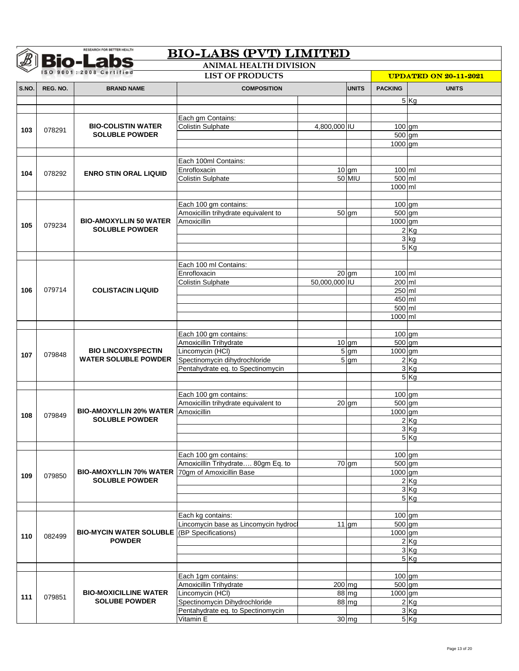|       | <b>Bio-Labs</b><br><b>ANIMAL HEALTH DIVISION</b> |                                                          |                                                               |               |                    |                               |              |  |  |  |
|-------|--------------------------------------------------|----------------------------------------------------------|---------------------------------------------------------------|---------------|--------------------|-------------------------------|--------------|--|--|--|
|       |                                                  | ISO 9001:2008 Certified                                  | <b>UPDATED ON 20-11-2021</b>                                  |               |                    |                               |              |  |  |  |
| S.NO. | REG. NO.                                         | <b>BRAND NAME</b>                                        | <b>COMPOSITION</b>                                            |               | <b>UNITS</b>       | <b>PACKING</b>                | <b>UNITS</b> |  |  |  |
|       |                                                  |                                                          |                                                               |               |                    |                               | 5 Kg         |  |  |  |
|       |                                                  |                                                          |                                                               |               |                    |                               |              |  |  |  |
|       |                                                  |                                                          | Each gm Contains:                                             |               |                    |                               |              |  |  |  |
| 103   | 078291                                           | <b>BIO-COLISTIN WATER</b>                                | <b>Colistin Sulphate</b>                                      | 4,800,000 IU  |                    | $100$ gm                      |              |  |  |  |
|       |                                                  | <b>SOLUBLE POWDER</b>                                    |                                                               |               |                    | 500 gm                        |              |  |  |  |
|       |                                                  |                                                          |                                                               |               |                    | 1000 gm                       |              |  |  |  |
|       |                                                  |                                                          | Each 100ml Contains:                                          |               |                    |                               |              |  |  |  |
|       |                                                  |                                                          | Enrofloxacin                                                  |               | $10$ gm            | $100$ ml                      |              |  |  |  |
| 104   | 078292                                           | <b>ENRO STIN ORAL LIQUID</b>                             | <b>Colistin Sulphate</b>                                      |               | 50 MIU             | 500 ml                        |              |  |  |  |
|       |                                                  |                                                          |                                                               |               |                    | 1000 ml                       |              |  |  |  |
|       |                                                  |                                                          |                                                               |               |                    |                               |              |  |  |  |
|       |                                                  |                                                          | Each 100 gm contains:                                         |               |                    | $\overline{100}$ gm           |              |  |  |  |
|       |                                                  |                                                          | Amoxicillin trihydrate equivalent to                          |               | $50 \text{ cm}$    | $\overline{500}$ gm           |              |  |  |  |
| 105   | 079234                                           | <b>BIO-AMOXYLLIN 50 WATER</b><br><b>SOLUBLE POWDER</b>   | Amoxicillin                                                   |               |                    | 1000 gm                       |              |  |  |  |
|       |                                                  |                                                          |                                                               |               |                    |                               | 2Kg<br>3 kg  |  |  |  |
|       |                                                  |                                                          |                                                               |               |                    |                               | 5Kg          |  |  |  |
|       |                                                  |                                                          |                                                               |               |                    |                               |              |  |  |  |
|       |                                                  |                                                          | Each 100 ml Contains:                                         |               |                    |                               |              |  |  |  |
|       |                                                  |                                                          | Enrofloxacin                                                  |               | $20$ gm            | $100$ ml                      |              |  |  |  |
|       |                                                  |                                                          | <b>Colistin Sulphate</b>                                      | 50,000,000 IU |                    | $200$ ml                      |              |  |  |  |
| 106   | 079714                                           | <b>COLISTACIN LIQUID</b>                                 |                                                               |               |                    | 250 ml                        |              |  |  |  |
|       |                                                  |                                                          |                                                               |               |                    | 450 ml                        |              |  |  |  |
|       |                                                  |                                                          |                                                               |               |                    | 500 ml                        |              |  |  |  |
|       |                                                  |                                                          |                                                               |               |                    | 1000 ml                       |              |  |  |  |
|       |                                                  |                                                          | Each 100 gm contains:                                         |               |                    | 100 gm                        |              |  |  |  |
|       | 079848                                           | <b>BIO LINCOXYSPECTIN</b><br><b>WATER SOLUBLE POWDER</b> | Amoxicillin Trihydrate                                        |               | $10$ gm            | 500 gm                        |              |  |  |  |
|       |                                                  |                                                          | Lincomycin (HCI)                                              |               | 5 gm               | 1000 gm                       |              |  |  |  |
| 107   |                                                  |                                                          | Spectinomycin dihydrochloride                                 |               | $5 \text{ gm}$     |                               | $2$ Kg       |  |  |  |
|       |                                                  |                                                          | Pentahydrate eq. to Spectinomycin                             |               |                    |                               | 3Kg          |  |  |  |
|       |                                                  |                                                          |                                                               |               |                    |                               | 5Kg          |  |  |  |
|       |                                                  |                                                          |                                                               |               |                    |                               |              |  |  |  |
|       |                                                  |                                                          | Each 100 gm contains:<br>Amoxicillin trihydrate equivalent to |               | $20$ gm            | 100 gm<br>$\overline{500}$ gm |              |  |  |  |
|       |                                                  | <b>BIO-AMOXYLLIN 20% WATER</b>                           | Amoxicillin                                                   |               |                    | 1000 gm                       |              |  |  |  |
| 108   | 079849                                           | <b>SOLUBLE POWDER</b>                                    |                                                               |               |                    |                               | 2Kg          |  |  |  |
|       |                                                  |                                                          |                                                               |               |                    |                               | 3 Kg         |  |  |  |
|       |                                                  |                                                          |                                                               |               |                    |                               | 5 Kg         |  |  |  |
|       |                                                  |                                                          |                                                               |               |                    |                               |              |  |  |  |
|       |                                                  |                                                          | Each 100 gm contains:                                         |               |                    | 100 gm                        |              |  |  |  |
|       |                                                  |                                                          | Amoxicillin Trihydrate 80gm Eq. to                            |               | 70 gm              | 500 gm                        |              |  |  |  |
| 109   | 079850                                           | BIO-AMOXYLLIN 70% WATER   70gm of Amoxicillin Base       |                                                               |               |                    | 1000 gm                       |              |  |  |  |
|       |                                                  | <b>SOLUBLE POWDER</b>                                    |                                                               |               |                    |                               | 2 Kg<br>3Kg  |  |  |  |
|       |                                                  |                                                          |                                                               |               |                    |                               | 5Kg          |  |  |  |
|       |                                                  |                                                          |                                                               |               |                    |                               |              |  |  |  |
|       |                                                  |                                                          | Each kg contains:                                             |               |                    | $100$ gm                      |              |  |  |  |
|       |                                                  |                                                          | Lincomycin base as Lincomycin hydrocl                         |               | $11$ gm            | 500 gm                        |              |  |  |  |
| 110   | 082499                                           | <b>BIO-MYCIN WATER SOLUBLE</b> (BP Specifications)       |                                                               |               |                    | 1000 gm                       |              |  |  |  |
|       |                                                  | <b>POWDER</b>                                            |                                                               |               |                    |                               | 2Kg          |  |  |  |
|       |                                                  |                                                          |                                                               |               |                    |                               | 3Kg          |  |  |  |
|       |                                                  |                                                          |                                                               |               |                    |                               | 5Kg          |  |  |  |
|       |                                                  |                                                          | Each 1gm contains:                                            |               |                    | $100$ gm                      |              |  |  |  |
|       |                                                  |                                                          | Amoxicillin Trihydrate                                        | 200 mg        |                    | 500 gm                        |              |  |  |  |
|       |                                                  | <b>BIO-MOXICILLINE WATER</b>                             | Lincomycin (HCI)                                              |               | $\overline{88}$ mg | 1000 gm                       |              |  |  |  |
| 111   | 079851                                           | <b>SOLUBE POWDER</b>                                     | Spectinomycin Dihydrochloride                                 |               | 88 mg              |                               | 2Kg          |  |  |  |
|       |                                                  |                                                          | Pentahydrate eq. to Spectinomycin                             |               |                    |                               | 3 Kg         |  |  |  |
|       |                                                  |                                                          | Vitamin E                                                     |               | $30$ mg            |                               | 5 Kg         |  |  |  |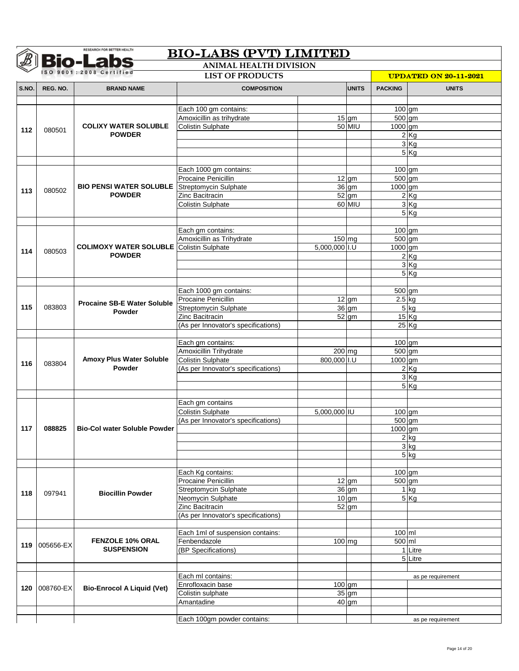|       |               | <b>Bio-Labs</b>                                      | <b>BIO-LABS (PVT) LIMITED</b><br><b>ANIMAL HEALTH DIVISION</b> |                              |                     |                  |                   |
|-------|---------------|------------------------------------------------------|----------------------------------------------------------------|------------------------------|---------------------|------------------|-------------------|
|       |               | ISO 9001:2008 Certified                              |                                                                | <b>UPDATED ON 20-11-2021</b> |                     |                  |                   |
| S.NO. | REG. NO.      | <b>BRAND NAME</b>                                    | <b>COMPOSITION</b>                                             |                              | <b>UNITS</b>        | <b>PACKING</b>   | <b>UNITS</b>      |
|       |               |                                                      |                                                                |                              |                     |                  |                   |
|       |               |                                                      | Each 100 gm contains:                                          |                              |                     | 100 gm           |                   |
|       |               |                                                      | Amoxicillin as trihydrate                                      |                              | $15$ gm             | $500 \text{ gm}$ |                   |
| 112   | 080501        | <b>COLIXY WATER SOLUBLE</b>                          | <b>Colistin Sulphate</b>                                       |                              | 50 MIU              | 1000 gm          |                   |
|       |               | <b>POWDER</b>                                        |                                                                |                              |                     |                  | 2Kg               |
|       |               |                                                      |                                                                |                              |                     |                  | 3Kg               |
|       |               |                                                      |                                                                |                              |                     |                  | 5Kg               |
|       |               |                                                      |                                                                |                              |                     |                  |                   |
|       |               |                                                      | Each 1000 gm contains:                                         |                              |                     | $100$ gm         |                   |
|       |               | <b>BIO PENSI WATER SOLUBLE</b> Streptomycin Sulphate | <b>Procaine Penicillin</b>                                     |                              | $12$ gm<br>$36$ gm  | 500 gm           |                   |
| 113   | 080502        | <b>POWDER</b>                                        | Zinc Bacitracin                                                |                              | 52 gm               | 1000 gm          | 2Kg               |
|       |               |                                                      | <b>Colistin Sulphate</b>                                       |                              | 60 MIU              |                  | 3Kg               |
|       |               |                                                      |                                                                |                              |                     |                  | 5Kg               |
|       |               |                                                      |                                                                |                              |                     |                  |                   |
|       |               |                                                      | Each gm contains:                                              |                              |                     | $100$ gm         |                   |
|       |               |                                                      | Amoxicillin as Trihydrate                                      | 150 mg                       |                     | 500 gm           |                   |
|       |               | <b>COLIMOXY WATER SOLUBLE Colistin Sulphate</b>      |                                                                | 5,000,000 I.U                |                     | 1000 gm          |                   |
| 114   | 080503        | <b>POWDER</b>                                        |                                                                |                              |                     |                  | 2Kg               |
|       |               |                                                      |                                                                |                              |                     |                  | 3Kg               |
|       |               |                                                      |                                                                |                              |                     |                  | 5Kg               |
|       |               |                                                      |                                                                |                              |                     |                  |                   |
|       |               |                                                      | Each 1000 gm contains:                                         |                              |                     | 500 gm           |                   |
|       | 083803        | <b>Procaine SB-E Water Soluble</b>                   | Procaine Penicillin                                            |                              | $12$ gm             | $2.5$ kg         |                   |
| 115   |               | Powder                                               | Streptomycin Sulphate                                          |                              | $\overline{36}$ gm  |                  | 5 kg              |
|       |               |                                                      | Zinc Bacitracin                                                |                              | $52$ gm             |                  | 15 Kg             |
|       |               |                                                      | (As per Innovator's specifications)                            |                              |                     |                  | $25$ Kg           |
|       |               |                                                      |                                                                |                              |                     |                  |                   |
|       |               |                                                      | Each gm contains:                                              |                              |                     | 100 gm           |                   |
|       |               |                                                      | Amoxicillin Trihydrate                                         | 200 mg                       |                     | 500 gm           |                   |
| 116   | 083804        | <b>Amoxy Plus Water Soluble</b><br>Powder            | <b>Colistin Sulphate</b>                                       | 800,000 I.U                  |                     | 1000 gm          |                   |
|       |               |                                                      | (As per Innovator's specifications)                            |                              |                     |                  | 2Kg               |
|       |               |                                                      |                                                                |                              |                     |                  | 3Kg               |
|       |               |                                                      |                                                                |                              |                     |                  | 5Kg               |
|       |               |                                                      | Each gm contains                                               |                              |                     |                  |                   |
|       |               |                                                      | <b>Colistin Sulphate</b>                                       |                              |                     |                  |                   |
|       |               |                                                      | (As per Innovator's specifications)                            | 5,000,000 IU                 |                     | 100 gm<br>500 gm |                   |
| 117   | 088825        | <b>Bio-Col water Soluble Powder</b>                  |                                                                |                              |                     | 1000 gm          |                   |
|       |               |                                                      |                                                                |                              |                     |                  | $2$ kg            |
|       |               |                                                      |                                                                |                              |                     |                  | 3 kg              |
|       |               |                                                      |                                                                |                              |                     |                  | $5$ kg            |
|       |               |                                                      |                                                                |                              |                     |                  |                   |
|       |               |                                                      | Each Kg contains:                                              |                              |                     | 100 gm           |                   |
|       |               |                                                      | Procaine Penicillin                                            |                              | $12$ gm             | 500 gm           |                   |
|       | 097941        |                                                      | Streptomycin Sulphate                                          |                              | $36$ gm             |                  | $1$ kg            |
| 118   |               | <b>Biocillin Powder</b>                              | Neomycin Sulphate                                              |                              | $10 \text{ gm}$     |                  | 5Kg               |
|       |               |                                                      | Zinc Bacitracin                                                |                              | $\overline{52}$ gm  |                  |                   |
|       |               |                                                      | (As per Innovator's specifications)                            |                              |                     |                  |                   |
|       |               |                                                      |                                                                |                              |                     |                  |                   |
|       |               |                                                      | Each 1ml of suspension contains:                               |                              |                     | 100 ml           |                   |
|       | 119 005656-EX | FENZOLE 10% ORAL                                     | Fenbendazole                                                   |                              | $\overline{100}$ mg | 500 ml           |                   |
|       |               | <b>SUSPENSION</b>                                    | (BP Specifications)                                            |                              |                     |                  | 1 Litre           |
|       |               |                                                      |                                                                |                              |                     |                  | 5 Litre           |
|       |               |                                                      |                                                                |                              |                     |                  |                   |
|       |               |                                                      | Each ml contains:                                              |                              |                     |                  | as pe requirement |
| 120   | 008760-EX     | <b>Bio-Enrocol A Liquid (Vet)</b>                    | Enrofloxacin base                                              |                              | 100 gm              |                  |                   |
|       |               |                                                      | Colistin sulphate                                              |                              | $\overline{35}$ gm  |                  |                   |
|       |               |                                                      | Amantadine                                                     |                              | $40$ gm             |                  |                   |
|       |               |                                                      |                                                                |                              |                     |                  |                   |
|       |               |                                                      | Each 100gm powder contains:                                    |                              |                     |                  | as pe requirement |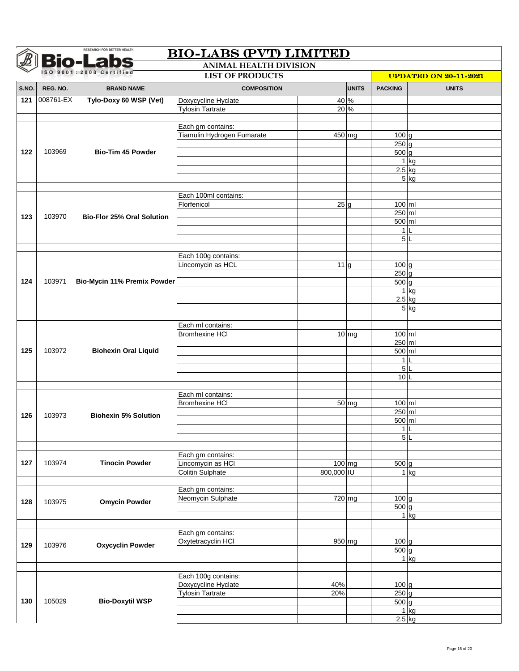| <b>Bio-Labs</b><br><b>ANIMAL HEALTH DIVISION</b><br>SO 9001:2008 Certified<br><b>LIST OF PRODUCTS</b> |           |                                   |                                            |                              |              |                      |              |  |
|-------------------------------------------------------------------------------------------------------|-----------|-----------------------------------|--------------------------------------------|------------------------------|--------------|----------------------|--------------|--|
|                                                                                                       |           |                                   |                                            | <b>UPDATED ON 20-11-2021</b> |              |                      |              |  |
| S.NO.                                                                                                 | REG. NO.  | <b>BRAND NAME</b>                 | <b>COMPOSITION</b>                         |                              | <b>UNITS</b> | <b>PACKING</b>       | <b>UNITS</b> |  |
| 121                                                                                                   | 008761-EX | Tylo-Doxy 60 WSP (Vet)            | Doxycycline Hyclate                        | 40 %                         |              |                      |              |  |
|                                                                                                       |           |                                   | <b>Tylosin Tartrate</b>                    | 20 %                         |              |                      |              |  |
|                                                                                                       |           |                                   |                                            |                              |              |                      |              |  |
|                                                                                                       |           |                                   | Each gm contains:                          |                              |              |                      |              |  |
|                                                                                                       |           |                                   | Tiamulin Hydrogen Fumarate                 | $450$ mg                     |              | 100g<br>$250$ g      |              |  |
| 122                                                                                                   | 103969    | <b>Bio-Tim 45 Powder</b>          |                                            |                              |              | $500$ g              |              |  |
|                                                                                                       |           |                                   |                                            |                              |              |                      | $1$ kg       |  |
|                                                                                                       |           |                                   |                                            |                              |              | $2.5$ kg             |              |  |
|                                                                                                       |           |                                   |                                            |                              |              |                      | $5$ kg       |  |
|                                                                                                       |           |                                   |                                            |                              |              |                      |              |  |
|                                                                                                       |           |                                   | Each 100ml contains:                       |                              |              |                      |              |  |
|                                                                                                       |           |                                   | Florfenicol                                | 25 <sub>g</sub>              |              | 100 ml               |              |  |
| 123                                                                                                   | 103970    | <b>Bio-Flor 25% Oral Solution</b> |                                            |                              |              | 250 ml               |              |  |
|                                                                                                       |           |                                   |                                            |                              |              | 500 ml               |              |  |
|                                                                                                       |           |                                   |                                            |                              |              | 1 <sup>1</sup><br>5L |              |  |
|                                                                                                       |           |                                   |                                            |                              |              |                      |              |  |
|                                                                                                       |           |                                   | Each 100g contains:                        |                              |              |                      |              |  |
|                                                                                                       |           |                                   | Lincomycin as HCL                          | 11 <sub>g</sub>              |              | $100 \text{ g}$      |              |  |
|                                                                                                       |           |                                   |                                            |                              |              | 250 <sub>q</sub>     |              |  |
| 124                                                                                                   | 103971    | Bio-Mycin 11% Premix Powder       |                                            |                              |              | $500$ g              |              |  |
|                                                                                                       |           |                                   |                                            |                              |              |                      | $1$ kg       |  |
|                                                                                                       |           |                                   |                                            |                              |              | $2.5$ kg             |              |  |
|                                                                                                       |           |                                   |                                            |                              |              |                      | 5 kg         |  |
|                                                                                                       |           |                                   |                                            |                              |              |                      |              |  |
|                                                                                                       |           |                                   | Each ml contains:                          |                              |              |                      |              |  |
|                                                                                                       | 103972    | <b>Biohexin Oral Liquid</b>       | <b>Bromhexine HCI</b>                      |                              | $10$ mg      | 100 ml               |              |  |
| 125                                                                                                   |           |                                   |                                            |                              |              | 250 ml<br>500 ml     |              |  |
|                                                                                                       |           |                                   |                                            |                              |              | 1                    |              |  |
|                                                                                                       |           |                                   |                                            |                              |              | 5 <sup>1</sup>       |              |  |
|                                                                                                       |           |                                   |                                            |                              |              | 10                   |              |  |
|                                                                                                       |           |                                   |                                            |                              |              |                      |              |  |
|                                                                                                       |           |                                   | Each ml contains:                          |                              |              |                      |              |  |
|                                                                                                       |           |                                   | <b>Bromhexine HCI</b>                      |                              | $50$ mg      | $100$ ml             |              |  |
| 126                                                                                                   | 103973    | <b>Biohexin 5% Solution</b>       |                                            |                              |              | 250 ml               |              |  |
|                                                                                                       |           |                                   |                                            |                              |              | 500 ml               |              |  |
|                                                                                                       |           |                                   |                                            |                              |              |                      | 1 L          |  |
|                                                                                                       |           |                                   |                                            |                              |              | 5L                   |              |  |
|                                                                                                       |           |                                   |                                            |                              |              |                      |              |  |
| 127                                                                                                   | 103974    | <b>Tinocin Powder</b>             | Each gm contains:<br>Lincomycin as HCI     | 100 mg                       |              | $500$ g              |              |  |
|                                                                                                       |           |                                   | <b>Colitin Sulphate</b>                    | 800,000 IU                   |              |                      | $1$ kg       |  |
|                                                                                                       |           |                                   |                                            |                              |              |                      |              |  |
|                                                                                                       |           |                                   | Each gm contains:                          |                              |              |                      |              |  |
|                                                                                                       |           |                                   | Neomycin Sulphate                          | 720 mg                       |              | $100$ g              |              |  |
| 128                                                                                                   | 103975    | <b>Omycin Powder</b>              |                                            |                              |              | $500$ g              |              |  |
|                                                                                                       |           |                                   |                                            |                              |              |                      | $1$ kg       |  |
|                                                                                                       |           |                                   |                                            |                              |              |                      |              |  |
|                                                                                                       |           |                                   | Each gm contains:                          |                              |              |                      |              |  |
| 129                                                                                                   | 103976    | <b>Oxycyclin Powder</b>           | Oxytetracyclin HCI                         | 950 mg                       |              | $100$ g              |              |  |
|                                                                                                       |           |                                   |                                            |                              |              | $500$ g              |              |  |
|                                                                                                       |           |                                   |                                            |                              |              |                      | $1$ kg       |  |
|                                                                                                       |           |                                   |                                            |                              |              |                      |              |  |
|                                                                                                       |           |                                   | Each 100g contains:<br>Doxycycline Hyclate | 40%                          |              | $100$ g              |              |  |
|                                                                                                       |           |                                   | <b>Tylosin Tartrate</b>                    | 20%                          |              | $250$ g              |              |  |
| 130                                                                                                   | 105029    | <b>Bio-Doxytil WSP</b>            |                                            |                              |              | $500$ g              |              |  |
|                                                                                                       |           |                                   |                                            |                              |              |                      | $1$ kg       |  |
|                                                                                                       |           |                                   |                                            |                              |              | $2.5$ kg             |              |  |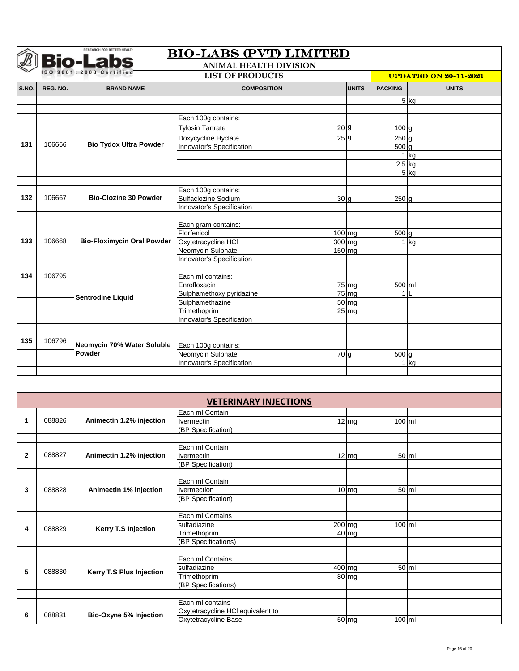|                                                                                    |          | <b>Bio-Labs</b>                      | <b>BIO-LABS (PVT) LIMITED</b><br><b>ANIMAL HEALTH DIVISION</b> |                  |                   |                    |                   |  |
|------------------------------------------------------------------------------------|----------|--------------------------------------|----------------------------------------------------------------|------------------|-------------------|--------------------|-------------------|--|
| ISO 9001:2008 Certified<br><b>LIST OF PRODUCTS</b><br><b>UPDATED ON 20-11-2021</b> |          |                                      |                                                                |                  |                   |                    |                   |  |
| S.NO.                                                                              | REG. NO. | <b>BRAND NAME</b>                    | <b>COMPOSITION</b>                                             |                  | <b>UNITS</b>      | <b>PACKING</b>     | <b>UNITS</b>      |  |
|                                                                                    |          |                                      |                                                                |                  |                   |                    |                   |  |
|                                                                                    |          |                                      |                                                                |                  |                   |                    | $5$ kg            |  |
|                                                                                    |          |                                      | Each 100g contains:                                            |                  |                   |                    |                   |  |
|                                                                                    |          |                                      | <b>Tylosin Tartrate</b>                                        | 20 <sub>g</sub>  |                   | 100 <sub>g</sub>   |                   |  |
|                                                                                    |          |                                      | Doxycycline Hyclate                                            | 25 <sup>g</sup>  |                   | 250 <sub>g</sub>   |                   |  |
| 131                                                                                | 106666   | <b>Bio Tydox Ultra Powder</b>        | Innovator's Specification                                      |                  |                   | 500 g              |                   |  |
|                                                                                    |          |                                      |                                                                |                  |                   |                    | $1$ kg            |  |
|                                                                                    |          |                                      |                                                                |                  |                   |                    | $2.5$ kg          |  |
|                                                                                    |          |                                      |                                                                |                  |                   |                    | $5$ kg            |  |
|                                                                                    |          |                                      |                                                                |                  |                   |                    |                   |  |
|                                                                                    |          |                                      | Each 100g contains:                                            |                  |                   |                    |                   |  |
| 132                                                                                | 106667   | <b>Bio-Clozine 30 Powder</b>         | Sulfaclozine Sodium                                            | 30 <sub>g</sub>  |                   | 250 <sub>g</sub>   |                   |  |
|                                                                                    |          |                                      | Innovator's Specification                                      |                  |                   |                    |                   |  |
|                                                                                    |          |                                      |                                                                |                  |                   |                    |                   |  |
|                                                                                    |          |                                      | Each gram contains:                                            |                  |                   |                    |                   |  |
| 133                                                                                | 106668   | <b>Bio-Floximycin Oral Powder</b>    | Florfenicol                                                    | 100 mg<br>300 mg |                   | 500 g              |                   |  |
|                                                                                    |          |                                      | Oxytetracycline HCI<br>Neomycin Sulphate                       |                  | $150$ mg          |                    | $1$ kg            |  |
|                                                                                    |          |                                      | Innovator's Specification                                      |                  |                   |                    |                   |  |
|                                                                                    |          |                                      |                                                                |                  |                   |                    |                   |  |
| 134                                                                                | 106795   |                                      | Each ml contains:                                              |                  |                   |                    |                   |  |
|                                                                                    |          |                                      | Enrofloxacin                                                   |                  | $75$ mg           | 500 ml             |                   |  |
|                                                                                    |          |                                      | Sulphamethoxy pyridazine                                       |                  | $75 \, \text{mg}$ |                    | 1L                |  |
|                                                                                    |          | <b>Sentrodine Liquid</b>             | Sulphamethazine                                                |                  | $50$ mg           |                    |                   |  |
|                                                                                    |          |                                      | Trimethoprim                                                   |                  | $25 \, \text{mg}$ |                    |                   |  |
|                                                                                    |          |                                      | Innovator's Specification                                      |                  |                   |                    |                   |  |
|                                                                                    |          |                                      |                                                                |                  |                   |                    |                   |  |
| 135                                                                                | 106796   | Neomycin 70% Water Soluble<br>Powder |                                                                |                  |                   |                    |                   |  |
|                                                                                    |          |                                      | Each 100g contains:<br>Neomycin Sulphate                       |                  |                   |                    |                   |  |
|                                                                                    |          |                                      | Innovator's Specification                                      | $70$ g           |                   | $500$ g            | $1$ kg            |  |
|                                                                                    |          |                                      |                                                                |                  |                   |                    |                   |  |
|                                                                                    |          |                                      |                                                                |                  |                   |                    |                   |  |
|                                                                                    |          |                                      |                                                                |                  |                   |                    |                   |  |
|                                                                                    |          |                                      | <b>VETERINARY INJECTIONS</b>                                   |                  |                   |                    |                   |  |
|                                                                                    |          |                                      | Each ml Contain                                                |                  |                   |                    |                   |  |
| 1                                                                                  | 088826   | Animectin 1.2% injection             | Ivermectin                                                     |                  | $\frac{1}{12}$ mg | $100 \, \text{ml}$ |                   |  |
|                                                                                    |          |                                      | (BP Specification)                                             |                  |                   |                    |                   |  |
|                                                                                    |          |                                      |                                                                |                  |                   |                    |                   |  |
|                                                                                    |          |                                      | Each ml Contain                                                |                  |                   |                    |                   |  |
| $\mathbf{2}$                                                                       | 088827   | Animectin 1.2% injection             | Ivermectin                                                     |                  | $12$ mg           |                    | $50 \, \text{ml}$ |  |
|                                                                                    |          |                                      | (BP Specification)                                             |                  |                   |                    |                   |  |
|                                                                                    |          |                                      | Each ml Contain                                                |                  |                   |                    |                   |  |
| 3                                                                                  | 088828   | Animectin 1% injection               | Ivermection                                                    |                  | $10$ mg           |                    | 50 ml             |  |
|                                                                                    |          |                                      | (BP Specification)                                             |                  |                   |                    |                   |  |
|                                                                                    |          |                                      |                                                                |                  |                   |                    |                   |  |
|                                                                                    |          |                                      | Each ml Contains                                               |                  |                   |                    |                   |  |
| 4                                                                                  | 088829   | <b>Kerry T.S Injection</b>           | sulfadiazine                                                   |                  | $200$ mg          | 100 ml             |                   |  |
|                                                                                    |          |                                      | Trimethoprim                                                   |                  | 40 mg             |                    |                   |  |
|                                                                                    |          |                                      | (BP Specifications)                                            |                  |                   |                    |                   |  |
|                                                                                    |          |                                      |                                                                |                  |                   |                    |                   |  |
|                                                                                    |          |                                      | Each ml Contains                                               |                  |                   |                    |                   |  |
| 5                                                                                  | 088830   | Kerry T.S Plus Injection             | sulfadiazine                                                   | $400$ mg         |                   |                    | $50 \, \text{ml}$ |  |
|                                                                                    |          |                                      | Trimethoprim                                                   |                  | 80 mg             |                    |                   |  |
|                                                                                    |          |                                      | (BP Specifications)                                            |                  |                   |                    |                   |  |
|                                                                                    |          |                                      | Each ml contains                                               |                  |                   |                    |                   |  |
|                                                                                    |          |                                      | Oxytetracycline HCI equivalent to                              |                  |                   |                    |                   |  |
| 6                                                                                  | 088831   | Bio-Oxyne 5% Injection               | Oxytetracycline Base                                           |                  | 50 mg             | 100 ml             |                   |  |
|                                                                                    |          |                                      |                                                                |                  |                   |                    |                   |  |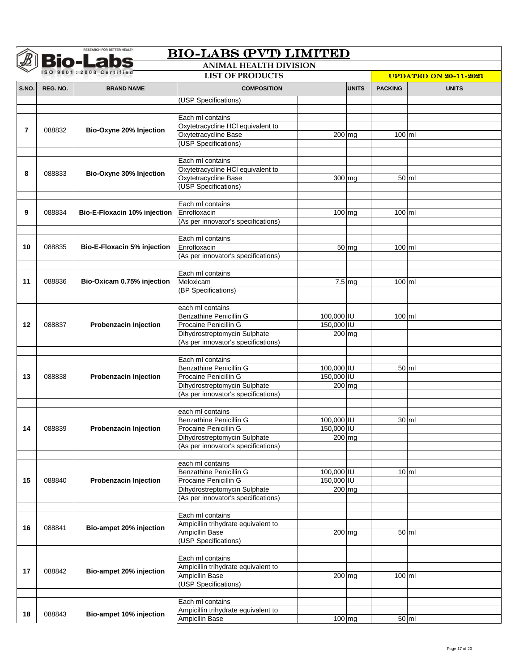| <b>Bio-Labs</b><br><b>ANIMAL HEALTH DIVISION</b> |          |                              |                                     |            |                     |                              |                   |  |
|--------------------------------------------------|----------|------------------------------|-------------------------------------|------------|---------------------|------------------------------|-------------------|--|
|                                                  |          | SO 9001:2008 Certified       | <b>LIST OF PRODUCTS</b>             |            |                     | <b>UPDATED ON 20-11-2021</b> |                   |  |
| S.NO.                                            | REG. NO. | <b>BRAND NAME</b>            | <b>COMPOSITION</b>                  |            | <b>UNITS</b>        | <b>PACKING</b>               | <b>UNITS</b>      |  |
|                                                  |          |                              | (USP Specifications)                |            |                     |                              |                   |  |
|                                                  |          |                              |                                     |            |                     |                              |                   |  |
|                                                  |          |                              | Each ml contains                    |            |                     |                              |                   |  |
| $\overline{7}$                                   | 088832   | Bio-Oxyne 20% Injection      | Oxytetracycline HCl equivalent to   |            |                     |                              |                   |  |
|                                                  |          |                              | Oxytetracycline Base                | $200$ mg   |                     | $100$ ml                     |                   |  |
|                                                  |          |                              | (USP Specifications)                |            |                     |                              |                   |  |
|                                                  |          |                              |                                     |            |                     |                              |                   |  |
|                                                  |          |                              | Each ml contains                    |            |                     |                              |                   |  |
| 8                                                | 088833   | Bio-Oxyne 30% Injection      | Oxytetracycline HCl equivalent to   |            |                     |                              |                   |  |
|                                                  |          |                              | Oxytetracycline Base                |            | $\overline{300}$ mg | $50$ ml                      |                   |  |
|                                                  |          |                              | (USP Specifications)                |            |                     |                              |                   |  |
|                                                  |          |                              |                                     |            |                     |                              |                   |  |
|                                                  |          |                              | Each ml contains                    |            |                     |                              |                   |  |
| 9                                                | 088834   | Bio-E-Floxacin 10% injection | Enrofloxacin                        | 100 mg     |                     | $100$ ml                     |                   |  |
|                                                  |          |                              | (As per innovator's specifications) |            |                     |                              |                   |  |
|                                                  |          |                              |                                     |            |                     |                              |                   |  |
| 10                                               | 088835   | Bio-E-Floxacin 5% injection  | Each ml contains<br>Enrofloxacin    |            | 50 mg               | $100$ ml                     |                   |  |
|                                                  |          |                              |                                     |            |                     |                              |                   |  |
|                                                  |          |                              | (As per innovator's specifications) |            |                     |                              |                   |  |
|                                                  |          |                              | Each ml contains                    |            |                     |                              |                   |  |
| 11                                               | 088836   | Bio-Oxicam 0.75% injection   | Meloxicam                           |            | $7.5 \, \text{mg}$  | 100 ml                       |                   |  |
|                                                  |          |                              | (BP Specifications)                 |            |                     |                              |                   |  |
|                                                  |          |                              |                                     |            |                     |                              |                   |  |
|                                                  |          |                              | each ml contains                    |            |                     |                              |                   |  |
|                                                  |          |                              | Benzathine Penicillin G             | 100,000 IU |                     | 100 ml                       |                   |  |
| 12                                               | 088837   | Probenzacin Injection        | Procaine Penicillin G               | 150,000 IU |                     |                              |                   |  |
|                                                  |          |                              | Dihydrostreptomycin Sulphate        | 200 mg     |                     |                              |                   |  |
|                                                  |          |                              | (As per innovator's specifications) |            |                     |                              |                   |  |
|                                                  |          |                              |                                     |            |                     |                              |                   |  |
|                                                  |          |                              | Each ml contains                    |            |                     |                              |                   |  |
|                                                  |          |                              | <b>Benzathine Penicillin G</b>      | 100,000 IU |                     | $50$ ml                      |                   |  |
| 13                                               | 088838   | Probenzacin Injection        | Procaine Penicillin G               | 150,000 IU |                     |                              |                   |  |
|                                                  |          |                              | Dihydrostreptomycin Sulphate        | $200$ mg   |                     |                              |                   |  |
|                                                  |          |                              | (As per innovator's specifications) |            |                     |                              |                   |  |
|                                                  |          |                              |                                     |            |                     |                              |                   |  |
|                                                  |          |                              | each ml contains                    |            |                     |                              |                   |  |
|                                                  |          |                              | Benzathine Penicillin G             | 100,000 IU |                     | $30$ ml                      |                   |  |
| 14                                               | 088839   | Probenzacin Injection        | Procaine Penicillin G               | 150,000 IU |                     |                              |                   |  |
|                                                  |          |                              | Dihydrostreptomycin Sulphate        | $200$ mg   |                     |                              |                   |  |
|                                                  |          |                              | (As per innovator's specifications) |            |                     |                              |                   |  |
|                                                  |          |                              |                                     |            |                     |                              |                   |  |
|                                                  |          |                              | each ml contains                    |            |                     |                              |                   |  |
|                                                  |          |                              | <b>Benzathine Penicillin G</b>      | 100,000 IU |                     | $10 \,$ ml                   |                   |  |
| 15                                               | 088840   | Probenzacin Injection        | Procaine Penicillin G               | 150,000 IU |                     |                              |                   |  |
|                                                  |          |                              | Dihydrostreptomycin Sulphate        |            | 200 mg              |                              |                   |  |
|                                                  |          |                              | (As per innovator's specifications) |            |                     |                              |                   |  |
|                                                  |          |                              | Each ml contains                    |            |                     |                              |                   |  |
|                                                  |          |                              | Ampicillin trihydrate equivalent to |            |                     |                              |                   |  |
| 16                                               | 088841   | Bio-ampet 20% injection      | Ampicllin Base                      |            | 200 mg              |                              | $50 \, \text{ml}$ |  |
|                                                  |          |                              | (USP Specifications)                |            |                     |                              |                   |  |
|                                                  |          |                              |                                     |            |                     |                              |                   |  |
|                                                  |          |                              | Each ml contains                    |            |                     |                              |                   |  |
|                                                  |          |                              | Ampicillin trihydrate equivalent to |            |                     |                              |                   |  |
| 17                                               | 088842   | Bio-ampet 20% injection      | Ampicllin Base                      |            | $200$ mg            | $100$ ml                     |                   |  |
|                                                  |          |                              | (USP Specifications)                |            |                     |                              |                   |  |
|                                                  |          |                              |                                     |            |                     |                              |                   |  |
|                                                  |          |                              | Each ml contains                    |            |                     |                              |                   |  |
|                                                  |          |                              | Ampicillin trihydrate equivalent to |            |                     |                              |                   |  |
| 18                                               | 088843   | Bio-ampet 10% injection      | AmpicIlin Base                      |            | $\overline{100}$ mg | 50 ml                        |                   |  |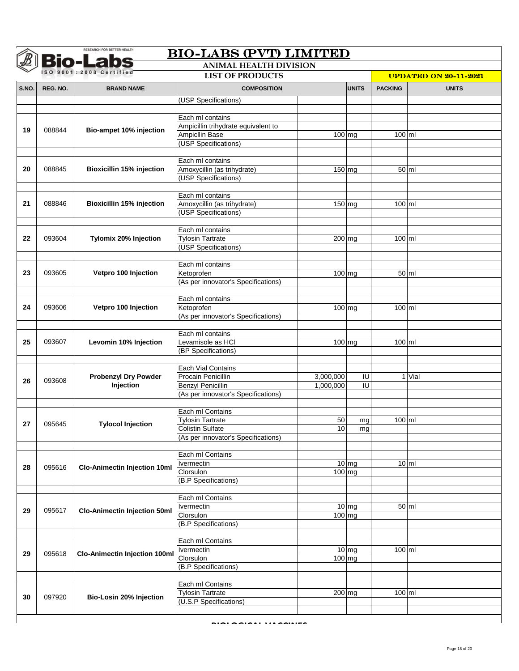| <b>Bio-Labs</b><br><b>ANIMAL HEALTH DIVISION</b> |          |                                      |                                     |                              |              |                |              |  |
|--------------------------------------------------|----------|--------------------------------------|-------------------------------------|------------------------------|--------------|----------------|--------------|--|
|                                                  |          | SO 9001:2008 Certified               | <b>LIST OF PRODUCTS</b>             | <b>UPDATED ON 20-11-2021</b> |              |                |              |  |
| S.NO.                                            | REG. NO. | <b>BRAND NAME</b>                    | <b>COMPOSITION</b>                  |                              | <b>UNITS</b> | <b>PACKING</b> | <b>UNITS</b> |  |
|                                                  |          |                                      | (USP Specifications)                |                              |              |                |              |  |
|                                                  |          |                                      |                                     |                              |              |                |              |  |
|                                                  |          |                                      | Each ml contains                    |                              |              |                |              |  |
| 19                                               | 088844   | Bio-ampet 10% injection              | Ampicillin trihydrate equivalent to |                              |              |                |              |  |
|                                                  |          |                                      | Ampicllin Base                      | 100 mg                       |              | $100$ ml       |              |  |
|                                                  |          |                                      | (USP Specifications)                |                              |              |                |              |  |
|                                                  |          |                                      | Each ml contains                    |                              |              |                |              |  |
| 20                                               | 088845   | <b>Bioxicillin 15% injection</b>     | Amoxycillin (as trihydrate)         | $150$ mg                     |              | $50$ ml        |              |  |
|                                                  |          |                                      | (USP Specifications)                |                              |              |                |              |  |
|                                                  |          |                                      |                                     |                              |              |                |              |  |
|                                                  |          |                                      | Each ml contains                    |                              |              |                |              |  |
| 21                                               | 088846   | <b>Bioxicillin 15% injection</b>     | Amoxycillin (as trihydrate)         | 150 mg                       |              | 100 ml         |              |  |
|                                                  |          |                                      | (USP Specifications)                |                              |              |                |              |  |
|                                                  |          |                                      |                                     |                              |              |                |              |  |
|                                                  |          |                                      | Each ml contains                    |                              |              |                |              |  |
| 22                                               | 093604   | Tylomix 20% Injection                | <b>Tylosin Tartrate</b>             | 200 mg                       |              | $100$ ml       |              |  |
|                                                  |          |                                      | (USP Specifications)                |                              |              |                |              |  |
|                                                  |          |                                      | Each ml contains                    |                              |              |                |              |  |
| 23                                               | 093605   | Vetpro 100 Injection                 | Ketoprofen                          | 100 mg                       |              | 50 ml          |              |  |
|                                                  |          |                                      | (As per innovator's Specifications) |                              |              |                |              |  |
|                                                  |          |                                      |                                     |                              |              |                |              |  |
|                                                  |          |                                      | Each ml contains                    |                              |              |                |              |  |
| 24                                               | 093606   | Vetpro 100 Injection                 | Ketoprofen                          | $\overline{100}$ mg          |              | $100$ ml       |              |  |
|                                                  |          |                                      | (As per innovator's Specifications) |                              |              |                |              |  |
|                                                  |          |                                      |                                     |                              |              |                |              |  |
|                                                  |          |                                      | Each ml contains                    |                              |              |                |              |  |
| 25                                               | 093607   | Levomin 10% Injection                | Levamisole as HCI                   | $100$ mg                     |              | 100 ml         |              |  |
|                                                  |          |                                      | (BP Specifications)                 |                              |              |                |              |  |
|                                                  |          |                                      | Each Vial Contains                  |                              |              |                |              |  |
|                                                  |          | <b>Probenzyl Dry Powder</b>          | Procain Penicillin                  | 3,000,000                    | IU           |                | 1 Vial       |  |
| 26                                               | 093608   | Injection                            | <b>Benzyl Penicillin</b>            | 1,000,000                    | IU           |                |              |  |
|                                                  |          |                                      | (As per innovator's Specifications) |                              |              |                |              |  |
|                                                  |          |                                      |                                     |                              |              |                |              |  |
|                                                  |          |                                      | Each ml Contains                    |                              |              |                |              |  |
| 27                                               | 095645   | <b>Tylocol Injection</b>             | <b>Tvlosin Tartrate</b>             | 50                           | mg           | $100$ ml       |              |  |
|                                                  |          |                                      | <b>Colistin Sulfate</b>             | 10 <sup>1</sup>              | mg           |                |              |  |
|                                                  |          |                                      | (As per innovator's Specifications) |                              |              |                |              |  |
|                                                  |          |                                      |                                     |                              |              |                |              |  |
|                                                  |          |                                      | Each ml Contains                    |                              | $10$ mg      |                | $10 \,$ ml   |  |
| 28                                               | 095616   | <b>Clo-Animectin Injection 10ml</b>  | Ivermectin<br>Clorsulon             | 100 mg                       |              |                |              |  |
|                                                  |          |                                      | (B.P Specifications)                |                              |              |                |              |  |
|                                                  |          |                                      |                                     |                              |              |                |              |  |
|                                                  |          |                                      | Each ml Contains                    |                              |              |                |              |  |
| 29                                               | 095617   | <b>Clo-Animectin Injection 50ml</b>  | Ivermectin                          |                              | $10$ mg      | 50 ml          |              |  |
|                                                  |          |                                      | Clorsulon                           | 100 mg                       |              |                |              |  |
|                                                  |          |                                      | (B.P Specifications)                |                              |              |                |              |  |
|                                                  |          |                                      |                                     |                              |              |                |              |  |
|                                                  |          |                                      | Each ml Contains                    |                              | $10$ mg      | $100$ ml       |              |  |
| 29                                               | 095618   | <b>Clo-Animectin Injection 100ml</b> | Ivermectin<br>Clorsulon             |                              |              |                |              |  |
|                                                  |          |                                      | (B.P Specifications)                | 100 mg                       |              |                |              |  |
|                                                  |          |                                      |                                     |                              |              |                |              |  |
|                                                  |          |                                      | Each ml Contains                    |                              |              |                |              |  |
| 30                                               | 097920   | Bio-Losin 20% Injection              | <b>Tylosin Tartrate</b>             | 200 mg                       |              | 100 ml         |              |  |
|                                                  |          |                                      | (U.S.P Specifications)              |                              |              |                |              |  |

**BIOLOGICAL VACCINES**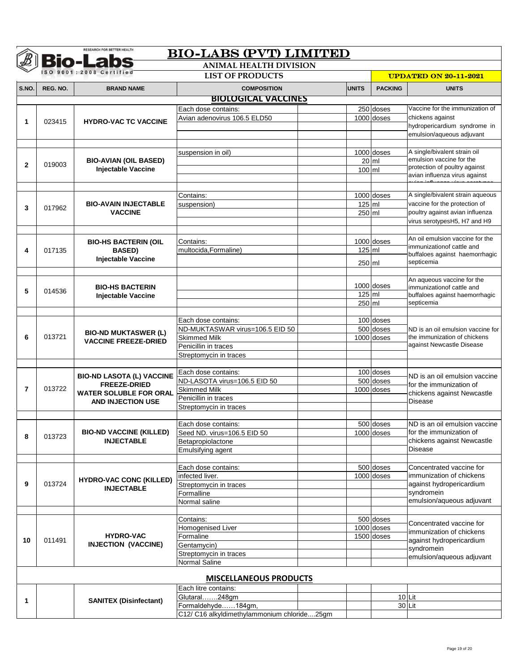|              |          | <b>RESEARCH FOR BETTER HEALTH</b>                                         | <b>BIO-LABS (PVT) LIMITED</b>               |              |                |                                                              |
|--------------|----------|---------------------------------------------------------------------------|---------------------------------------------|--------------|----------------|--------------------------------------------------------------|
|              |          | <b>Bio-Labs</b>                                                           | <b>ANIMAL HEALTH DIVISION</b>               |              |                |                                                              |
|              |          | SO 9001:2008 Certified                                                    | <b>LIST OF PRODUCTS</b>                     |              |                | <b>UPDATED ON 20-11-2021</b>                                 |
| S.NO.        | REG. NO. | <b>BRAND NAME</b>                                                         | <b>COMPOSITION</b>                          | <b>UNITS</b> | <b>PACKING</b> | <b>UNITS</b>                                                 |
|              |          |                                                                           | <b>BIOLOGICAL VACCINES</b>                  |              |                |                                                              |
|              |          |                                                                           | Each dose contains:                         |              | 250 doses      | Vaccine for the immunization of                              |
|              |          |                                                                           | Avian adenovirus 106.5 ELD50                |              | 1000 doses     | chickens against                                             |
| 1            | 023415   | <b>HYDRO-VAC TC VACCINE</b>                                               |                                             |              |                | hydropericardium syndrome in                                 |
|              |          |                                                                           |                                             |              |                | emulsion/aqueous adjuvant                                    |
|              |          |                                                                           |                                             |              |                |                                                              |
|              |          |                                                                           | suspension in oil)                          |              | 1000 doses     | A single/bivalent strain oil<br>emulsion vaccine for the     |
| $\mathbf{2}$ | 019003   | <b>BIO-AVIAN (OIL BASED)</b><br><b>Injectable Vaccine</b>                 |                                             |              | $20$ ml        | protection of poultry against                                |
|              |          |                                                                           |                                             | 100 ml       |                | avian influenza virus against                                |
|              |          |                                                                           |                                             |              |                |                                                              |
|              |          |                                                                           | Contains:                                   |              | 1000 doses     | A single/bivalent strain aqueous                             |
| 3            | 017962   | <b>BIO-AVAIN INJECTABLE</b>                                               | suspension)                                 | 125 ml       |                | vaccine for the protection of                                |
|              |          | <b>VACCINE</b>                                                            |                                             | 250 ml       |                | poultry against avian influenza                              |
|              |          |                                                                           |                                             |              |                | virus serotypesH5, H7 and H9                                 |
|              |          |                                                                           |                                             |              |                |                                                              |
|              |          | <b>BIO-HS BACTERIN (OIL</b>                                               | Contains:                                   |              | 1000 doses     | An oil emulsion vaccine for the<br>immunizationof cattle and |
| 4            | 017135   | <b>BASED)</b>                                                             | multocida, Formaline)                       | 125 ml       |                | buffaloes against haemorrhagic                               |
|              |          | Injectable Vaccine                                                        |                                             | 250 ml       |                | septicemia                                                   |
|              |          |                                                                           |                                             |              |                |                                                              |
|              |          |                                                                           |                                             |              | 1000 doses     | An aqueous vaccine for the                                   |
| 5            | 014536   | <b>BIO-HS BACTERIN</b><br><b>Injectable Vaccine</b>                       |                                             | 125 ml       |                | immunizationof cattle and<br>buffaloes against haemorrhagic  |
|              |          |                                                                           |                                             | 250 ml       |                | septicemia                                                   |
|              |          |                                                                           |                                             |              |                |                                                              |
|              |          | <b>BIO-ND MUKTASWER (L)</b><br><b>VACCINE FREEZE-DRIED</b>                | Each dose contains:                         |              | 100 doses      |                                                              |
|              | 013721   |                                                                           | ND-MUKTASWAR virus=106.5 EID 50             |              | 500 doses      | ND is an oil emulsion vaccine for                            |
| 6            |          |                                                                           | <b>Skimmed Milk</b>                         |              | 1000 doses     | the immunization of chickens                                 |
|              |          |                                                                           | Penicillin in traces                        |              |                | against Newcastle Disease                                    |
|              |          |                                                                           | Streptomycin in traces                      |              |                |                                                              |
|              |          |                                                                           | Each dose contains:                         |              | 100 doses      |                                                              |
|              |          | <b>BIO-ND LASOTA (L) VACCINE</b>                                          | ND-LASOTA virus=106.5 EID 50                |              | 500 doses      | ND is an oil emulsion vaccine                                |
| 7            | 013722   | <b>FREEZE-DRIED</b><br><b>WATER SOLUBLE FOR ORAL</b><br>AND INJECTION USE | Skimmed Milk                                |              | 1000 doses     | for the immunization of                                      |
|              |          |                                                                           | Penicillin in traces                        |              |                | chickens against Newcastle<br><b>Disease</b>                 |
|              |          |                                                                           | Streptomycin in traces                      |              |                |                                                              |
|              |          |                                                                           |                                             |              |                |                                                              |
|              |          |                                                                           | Each dose contains:                         |              | 500 doses      | ND is an oil emulsion vaccine                                |
| 8            | 013723   | <b>BIO-ND VACCINE (KILLED)</b><br><b>INJECTABLE</b>                       | Seed ND. virus=106.5 EID 50                 |              | 1000 doses     | for the immunization of                                      |
|              |          |                                                                           | Betapropiolactone<br>Emulsifying agent      |              |                | chickens against Newcastle<br>Disease                        |
|              |          |                                                                           |                                             |              |                |                                                              |
|              |          |                                                                           | Each dose contains:                         |              | 500 doses      | Concentrated vaccine for                                     |
|              |          | <b>HYDRO-VAC CONC (KILLED)</b>                                            | infected liver.                             |              | 1000 doses     | immunization of chickens                                     |
| 9            | 013724   | <b>INJECTABLE</b>                                                         | Streptomycin in traces                      |              |                | against hydropericardium                                     |
|              |          |                                                                           | Formalline                                  |              |                | syndromein                                                   |
|              |          |                                                                           | Normal saline                               |              |                | emulsion/aqueous adjuvant                                    |
|              |          |                                                                           |                                             |              | 500 doses      |                                                              |
|              |          |                                                                           | Contains:<br>Homogenised Liver              |              | 1000 doses     | Concentrated vaccine for                                     |
|              |          | <b>HYDRO-VAC</b>                                                          | Formaline                                   |              | 1500 doses     | immunization of chickens                                     |
| 10           | 011491   | <b>INJECTION (VACCINE)</b>                                                | Gentamycin)                                 |              |                | against hydropericardium<br>syndromein                       |
|              |          |                                                                           | Streptomycin in traces                      |              |                | emulsion/aqueous adjuvant                                    |
|              |          |                                                                           | <b>Normal Saline</b>                        |              |                |                                                              |
|              |          |                                                                           |                                             |              |                |                                                              |
|              |          |                                                                           | <b>MISCELLANEOUS PRODUCTS</b>               |              |                |                                                              |
|              |          |                                                                           | Each litre contains:<br>Glutaral248gm       |              |                | 10 Lit                                                       |
| 1            |          | <b>SANITEX (Disinfectant)</b>                                             | Formaldehyde184gm,                          |              |                | 30 Lit                                                       |
|              |          |                                                                           | C12/ C16 alkyldimethylammonium chloride25gm |              |                |                                                              |
|              |          |                                                                           |                                             |              |                |                                                              |